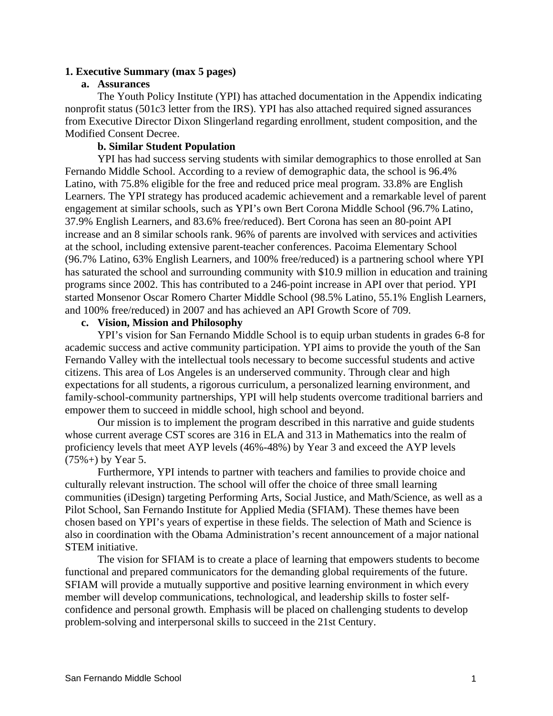## **1. Executive Summary (max 5 pages)**

## **a. Assurances**

The Youth Policy Institute (YPI) has attached documentation in the Appendix indicating nonprofit status (501c3 letter from the IRS). YPI has also attached required signed assurances from Executive Director Dixon Slingerland regarding enrollment, student composition, and the Modified Consent Decree.

## **b. Similar Student Population**

YPI has had success serving students with similar demographics to those enrolled at San Fernando Middle School. According to a review of demographic data, the school is 96.4% Latino, with 75.8% eligible for the free and reduced price meal program. 33.8% are English Learners. The YPI strategy has produced academic achievement and a remarkable level of parent engagement at similar schools, such as YPI's own Bert Corona Middle School (96.7% Latino, 37.9% English Learners, and 83.6% free/reduced). Bert Corona has seen an 80‐point API increase and an 8 similar schools rank. 96% of parents are involved with services and activities at the school, including extensive parent-teacher conferences. Pacoima Elementary School (96.7% Latino, 63% English Learners, and 100% free/reduced) is a partnering school where YPI has saturated the school and surrounding community with \$10.9 million in education and training programs since 2002. This has contributed to a 246‐point increase in API over that period. YPI started Monsenor Oscar Romero Charter Middle School (98.5% Latino, 55.1% English Learners, and 100% free/reduced) in 2007 and has achieved an API Growth Score of 709.

## **c. Vision, Mission and Philosophy**

YPI's vision for San Fernando Middle School is to equip urban students in grades 6-8 for academic success and active community participation. YPI aims to provide the youth of the San Fernando Valley with the intellectual tools necessary to become successful students and active citizens. This area of Los Angeles is an underserved community. Through clear and high expectations for all students, a rigorous curriculum, a personalized learning environment, and family-school-community partnerships, YPI will help students overcome traditional barriers and empower them to succeed in middle school, high school and beyond.

Our mission is to implement the program described in this narrative and guide students whose current average CST scores are 316 in ELA and 313 in Mathematics into the realm of proficiency levels that meet AYP levels (46%-48%) by Year 3 and exceed the AYP levels  $(75\% +)$  by Year 5.

Furthermore, YPI intends to partner with teachers and families to provide choice and culturally relevant instruction. The school will offer the choice of three small learning communities (iDesign) targeting Performing Arts, Social Justice, and Math/Science, as well as a Pilot School, San Fernando Institute for Applied Media (SFIAM). These themes have been chosen based on YPI's years of expertise in these fields. The selection of Math and Science is also in coordination with the Obama Administration's recent announcement of a major national STEM initiative.

The vision for SFIAM is to create a place of learning that empowers students to become functional and prepared communicators for the demanding global requirements of the future. SFIAM will provide a mutually supportive and positive learning environment in which every member will develop communications, technological, and leadership skills to foster selfconfidence and personal growth. Emphasis will be placed on challenging students to develop problem-solving and interpersonal skills to succeed in the 21st Century.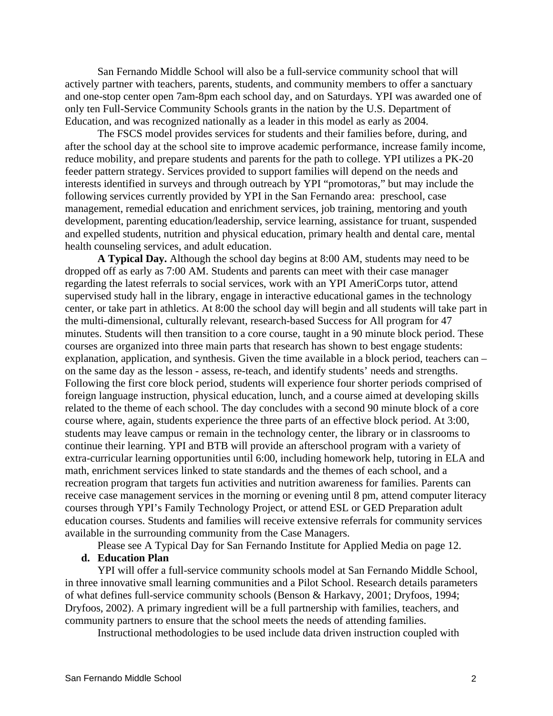San Fernando Middle School will also be a full-service community school that will actively partner with teachers, parents, students, and community members to offer a sanctuary and one-stop center open 7am-8pm each school day, and on Saturdays. YPI was awarded one of only ten Full-Service Community Schools grants in the nation by the U.S. Department of Education, and was recognized nationally as a leader in this model as early as 2004.

The FSCS model provides services for students and their families before, during, and after the school day at the school site to improve academic performance, increase family income, reduce mobility, and prepare students and parents for the path to college. YPI utilizes a PK-20 feeder pattern strategy. Services provided to support families will depend on the needs and interests identified in surveys and through outreach by YPI "promotoras," but may include the following services currently provided by YPI in the San Fernando area: preschool, case management, remedial education and enrichment services, job training, mentoring and youth development, parenting education/leadership, service learning, assistance for truant, suspended and expelled students, nutrition and physical education, primary health and dental care, mental health counseling services, and adult education.

**A Typical Day.** Although the school day begins at 8:00 AM, students may need to be dropped off as early as 7:00 AM. Students and parents can meet with their case manager regarding the latest referrals to social services, work with an YPI AmeriCorps tutor, attend supervised study hall in the library, engage in interactive educational games in the technology center, or take part in athletics. At 8:00 the school day will begin and all students will take part in the multi-dimensional, culturally relevant, research-based Success for All program for 47 minutes. Students will then transition to a core course, taught in a 90 minute block period. These courses are organized into three main parts that research has shown to best engage students: explanation, application, and synthesis. Given the time available in a block period, teachers can – on the same day as the lesson - assess, re-teach, and identify students' needs and strengths. Following the first core block period, students will experience four shorter periods comprised of foreign language instruction, physical education, lunch, and a course aimed at developing skills related to the theme of each school. The day concludes with a second 90 minute block of a core course where, again, students experience the three parts of an effective block period. At 3:00, students may leave campus or remain in the technology center, the library or in classrooms to continue their learning. YPI and BTB will provide an afterschool program with a variety of extra-curricular learning opportunities until 6:00, including homework help, tutoring in ELA and math, enrichment services linked to state standards and the themes of each school, and a recreation program that targets fun activities and nutrition awareness for families. Parents can receive case management services in the morning or evening until 8 pm, attend computer literacy courses through YPI's Family Technology Project, or attend ESL or GED Preparation adult education courses. Students and families will receive extensive referrals for community services available in the surrounding community from the Case Managers.

Please see A Typical Day for San Fernando Institute for Applied Media on page 12.

## **d. Education Plan**

YPI will offer a full-service community schools model at San Fernando Middle School, in three innovative small learning communities and a Pilot School. Research details parameters of what defines full-service community schools (Benson & Harkavy, 2001; Dryfoos, 1994; Dryfoos, 2002). A primary ingredient will be a full partnership with families, teachers, and community partners to ensure that the school meets the needs of attending families.

Instructional methodologies to be used include data driven instruction coupled with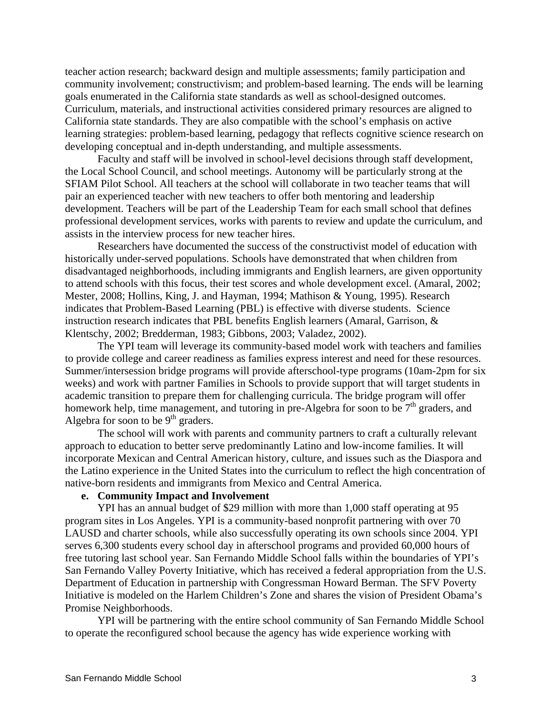teacher action research; backward design and multiple assessments; family participation and community involvement; constructivism; and problem-based learning. The ends will be learning goals enumerated in the California state standards as well as school-designed outcomes. Curriculum, materials, and instructional activities considered primary resources are aligned to California state standards. They are also compatible with the school's emphasis on active learning strategies: problem-based learning, pedagogy that reflects cognitive science research on developing conceptual and in-depth understanding, and multiple assessments.

 Faculty and staff will be involved in school-level decisions through staff development, the Local School Council, and school meetings. Autonomy will be particularly strong at the SFIAM Pilot School. All teachers at the school will collaborate in two teacher teams that will pair an experienced teacher with new teachers to offer both mentoring and leadership development. Teachers will be part of the Leadership Team for each small school that defines professional development services, works with parents to review and update the curriculum, and assists in the interview process for new teacher hires.

Researchers have documented the success of the constructivist model of education with historically under-served populations. Schools have demonstrated that when children from disadvantaged neighborhoods, including immigrants and English learners, are given opportunity to attend schools with this focus, their test scores and whole development excel. (Amaral, 2002; Mester, 2008; Hollins, King, J. and Hayman, 1994; Mathison & Young, 1995). Research indicates that Problem-Based Learning (PBL) is effective with diverse students. Science instruction research indicates that PBL benefits English learners (Amaral, Garrison, & Klentschy, 2002; Bredderman, 1983; Gibbons, 2003; Valadez, 2002).

The YPI team will leverage its community-based model work with teachers and families to provide college and career readiness as families express interest and need for these resources. Summer/intersession bridge programs will provide afterschool-type programs (10am-2pm for six weeks) and work with partner Families in Schools to provide support that will target students in academic transition to prepare them for challenging curricula. The bridge program will offer homework help, time management, and tutoring in pre-Algebra for soon to be  $7<sup>th</sup>$  graders, and Algebra for soon to be  $9<sup>th</sup>$  graders.

The school will work with parents and community partners to craft a culturally relevant approach to education to better serve predominantly Latino and low-income families. It will incorporate Mexican and Central American history, culture, and issues such as the Diaspora and the Latino experience in the United States into the curriculum to reflect the high concentration of native-born residents and immigrants from Mexico and Central America.

#### **e. Community Impact and Involvement**

YPI has an annual budget of \$29 million with more than 1,000 staff operating at 95 program sites in Los Angeles. YPI is a community-based nonprofit partnering with over 70 LAUSD and charter schools, while also successfully operating its own schools since 2004. YPI serves 6,300 students every school day in afterschool programs and provided 60,000 hours of free tutoring last school year. San Fernando Middle School falls within the boundaries of YPI's San Fernando Valley Poverty Initiative, which has received a federal appropriation from the U.S. Department of Education in partnership with Congressman Howard Berman. The SFV Poverty Initiative is modeled on the Harlem Children's Zone and shares the vision of President Obama's Promise Neighborhoods.

YPI will be partnering with the entire school community of San Fernando Middle School to operate the reconfigured school because the agency has wide experience working with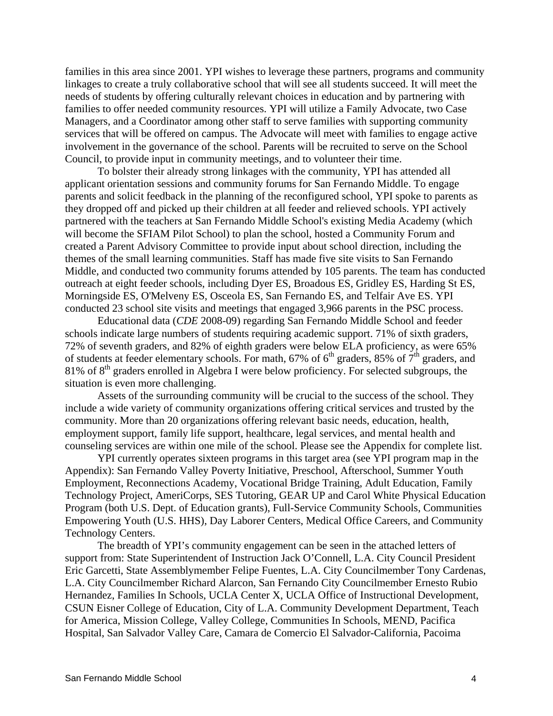families in this area since 2001. YPI wishes to leverage these partners, programs and community linkages to create a truly collaborative school that will see all students succeed. It will meet the needs of students by offering culturally relevant choices in education and by partnering with families to offer needed community resources. YPI will utilize a Family Advocate, two Case Managers, and a Coordinator among other staff to serve families with supporting community services that will be offered on campus. The Advocate will meet with families to engage active involvement in the governance of the school. Parents will be recruited to serve on the School Council, to provide input in community meetings, and to volunteer their time.

To bolster their already strong linkages with the community, YPI has attended all applicant orientation sessions and community forums for San Fernando Middle. To engage parents and solicit feedback in the planning of the reconfigured school, YPI spoke to parents as they dropped off and picked up their children at all feeder and relieved schools. YPI actively partnered with the teachers at San Fernando Middle School's existing Media Academy (which will become the SFIAM Pilot School) to plan the school, hosted a Community Forum and created a Parent Advisory Committee to provide input about school direction, including the themes of the small learning communities. Staff has made five site visits to San Fernando Middle, and conducted two community forums attended by 105 parents. The team has conducted outreach at eight feeder schools, including Dyer ES, Broadous ES, Gridley ES, Harding St ES, Morningside ES, O'Melveny ES, Osceola ES, San Fernando ES, and Telfair Ave ES. YPI conducted 23 school site visits and meetings that engaged 3,966 parents in the PSC process.

Educational data (*CDE* 2008-09) regarding San Fernando Middle School and feeder schools indicate large numbers of students requiring academic support. 71% of sixth graders, 72% of seventh graders, and 82% of eighth graders were below ELA proficiency, as were 65% of students at feeder elementary schools. For math,  $67\%$  of  $6<sup>th</sup>$  graders,  $85\%$  of  $7<sup>th</sup>$  graders, and 81% of 8<sup>th</sup> graders enrolled in Algebra I were below proficiency. For selected subgroups, the situation is even more challenging.

Assets of the surrounding community will be crucial to the success of the school. They include a wide variety of community organizations offering critical services and trusted by the community. More than 20 organizations offering relevant basic needs, education, health, employment support, family life support, healthcare, legal services, and mental health and counseling services are within one mile of the school. Please see the Appendix for complete list.

YPI currently operates sixteen programs in this target area (see YPI program map in the Appendix): San Fernando Valley Poverty Initiative, Preschool, Afterschool, Summer Youth Employment, Reconnections Academy, Vocational Bridge Training, Adult Education, Family Technology Project, AmeriCorps, SES Tutoring, GEAR UP and Carol White Physical Education Program (both U.S. Dept. of Education grants), Full-Service Community Schools, Communities Empowering Youth (U.S. HHS), Day Laborer Centers, Medical Office Careers, and Community Technology Centers.

The breadth of YPI's community engagement can be seen in the attached letters of support from: State Superintendent of Instruction Jack O'Connell, L.A. City Council President Eric Garcetti, State Assemblymember Felipe Fuentes, L.A. City Councilmember Tony Cardenas, L.A. City Councilmember Richard Alarcon, San Fernando City Councilmember Ernesto Rubio Hernandez, Families In Schools, UCLA Center X, UCLA Office of Instructional Development, CSUN Eisner College of Education, City of L.A. Community Development Department, Teach for America, Mission College, Valley College, Communities In Schools, MEND, Pacifica Hospital, San Salvador Valley Care, Camara de Comercio El Salvador-California, Pacoima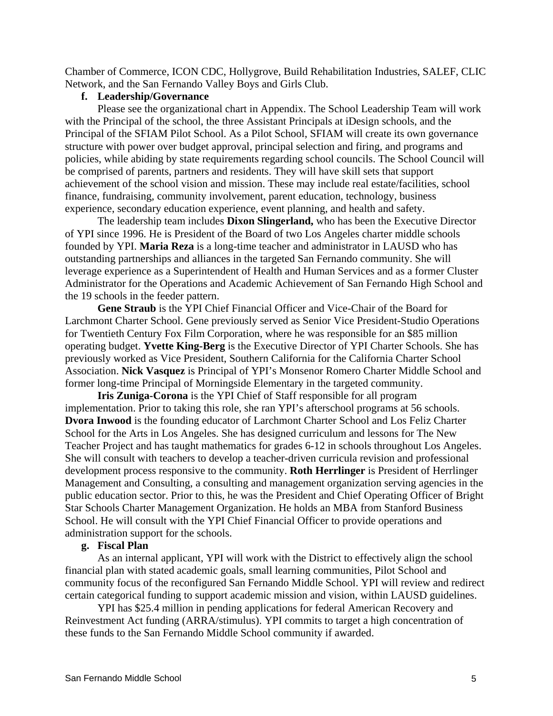Chamber of Commerce, ICON CDC, Hollygrove, Build Rehabilitation Industries, SALEF, CLIC Network, and the San Fernando Valley Boys and Girls Club.

## **f. Leadership/Governance**

Please see the organizational chart in Appendix. The School Leadership Team will work with the Principal of the school, the three Assistant Principals at iDesign schools, and the Principal of the SFIAM Pilot School. As a Pilot School, SFIAM will create its own governance structure with power over budget approval, principal selection and firing, and programs and policies, while abiding by state requirements regarding school councils. The School Council will be comprised of parents, partners and residents. They will have skill sets that support achievement of the school vision and mission. These may include real estate/facilities, school finance, fundraising, community involvement, parent education, technology, business experience, secondary education experience, event planning, and health and safety.

The leadership team includes **Dixon Slingerland,** who has been the Executive Director of YPI since 1996. He is President of the Board of two Los Angeles charter middle schools founded by YPI. **Maria Reza** is a long-time teacher and administrator in LAUSD who has outstanding partnerships and alliances in the targeted San Fernando community. She will leverage experience as a Superintendent of Health and Human Services and as a former Cluster Administrator for the Operations and Academic Achievement of San Fernando High School and the 19 schools in the feeder pattern.

**Gene Straub** is the YPI Chief Financial Officer and Vice-Chair of the Board for Larchmont Charter School. Gene previously served as Senior Vice President-Studio Operations for Twentieth Century Fox Film Corporation, where he was responsible for an \$85 million operating budget. **Yvette King-Berg** is the Executive Director of YPI Charter Schools. She has previously worked as Vice President, Southern California for the California Charter School Association. **Nick Vasquez** is Principal of YPI's Monsenor Romero Charter Middle School and former long-time Principal of Morningside Elementary in the targeted community.

**Iris Zuniga-Corona** is the YPI Chief of Staff responsible for all program implementation. Prior to taking this role, she ran YPI's afterschool programs at 56 schools. **Dvora Inwood** is the founding educator of Larchmont Charter School and Los Feliz Charter School for the Arts in Los Angeles. She has designed curriculum and lessons for The New Teacher Project and has taught mathematics for grades 6-12 in schools throughout Los Angeles. She will consult with teachers to develop a teacher-driven curricula revision and professional development process responsive to the community. **Roth Herrlinger** is President of Herrlinger Management and Consulting, a consulting and management organization serving agencies in the public education sector. Prior to this, he was the President and Chief Operating Officer of Bright Star Schools Charter Management Organization. He holds an MBA from Stanford Business School. He will consult with the YPI Chief Financial Officer to provide operations and administration support for the schools.

#### **g. Fiscal Plan**

As an internal applicant, YPI will work with the District to effectively align the school financial plan with stated academic goals, small learning communities, Pilot School and community focus of the reconfigured San Fernando Middle School. YPI will review and redirect certain categorical funding to support academic mission and vision, within LAUSD guidelines.

YPI has \$25.4 million in pending applications for federal American Recovery and Reinvestment Act funding (ARRA/stimulus). YPI commits to target a high concentration of these funds to the San Fernando Middle School community if awarded.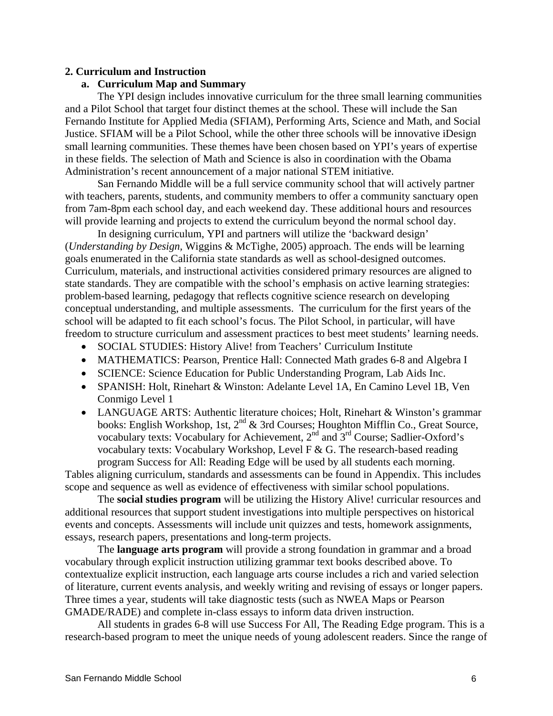## **2. Curriculum and Instruction**

### **a. Curriculum Map and Summary**

The YPI design includes innovative curriculum for the three small learning communities and a Pilot School that target four distinct themes at the school. These will include the San Fernando Institute for Applied Media (SFIAM), Performing Arts, Science and Math, and Social Justice. SFIAM will be a Pilot School, while the other three schools will be innovative iDesign small learning communities. These themes have been chosen based on YPI's years of expertise in these fields. The selection of Math and Science is also in coordination with the Obama Administration's recent announcement of a major national STEM initiative.

San Fernando Middle will be a full service community school that will actively partner with teachers, parents, students, and community members to offer a community sanctuary open from 7am-8pm each school day, and each weekend day. These additional hours and resources will provide learning and projects to extend the curriculum beyond the normal school day.

In designing curriculum, YPI and partners will utilize the 'backward design' (*Understanding by Design,* Wiggins & McTighe, 2005) approach. The ends will be learning goals enumerated in the California state standards as well as school-designed outcomes. Curriculum, materials, and instructional activities considered primary resources are aligned to state standards. They are compatible with the school's emphasis on active learning strategies: problem-based learning, pedagogy that reflects cognitive science research on developing conceptual understanding, and multiple assessments. The curriculum for the first years of the school will be adapted to fit each school's focus. The Pilot School, in particular, will have freedom to structure curriculum and assessment practices to best meet students' learning needs.

- SOCIAL STUDIES: History Alive! from Teachers' Curriculum Institute
- MATHEMATICS: Pearson, Prentice Hall: Connected Math grades 6-8 and Algebra I
- SCIENCE: Science Education for Public Understanding Program, Lab Aids Inc.
- SPANISH: Holt, Rinehart & Winston: Adelante Level 1A, En Camino Level 1B, Ven Conmigo Level 1
- LANGUAGE ARTS: Authentic literature choices; Holt, Rinehart & Winston's grammar books: English Workshop, 1st, 2<sup>nd</sup> & 3rd Courses; Houghton Mifflin Co., Great Source, vocabulary texts: Vocabulary for Achievement, 2nd and 3rd Course; Sadlier-Oxford's vocabulary texts: Vocabulary Workshop, Level F  $\&$  G. The research-based reading program Success for All: Reading Edge will be used by all students each morning.

Tables aligning curriculum, standards and assessments can be found in Appendix. This includes scope and sequence as well as evidence of effectiveness with similar school populations.

The **social studies program** will be utilizing the History Alive! curricular resources and additional resources that support student investigations into multiple perspectives on historical events and concepts. Assessments will include unit quizzes and tests, homework assignments, essays, research papers, presentations and long-term projects.

The **language arts program** will provide a strong foundation in grammar and a broad vocabulary through explicit instruction utilizing grammar text books described above. To contextualize explicit instruction, each language arts course includes a rich and varied selection of literature, current events analysis, and weekly writing and revising of essays or longer papers. Three times a year, students will take diagnostic tests (such as NWEA Maps or Pearson GMADE/RADE) and complete in-class essays to inform data driven instruction.

All students in grades 6-8 will use Success For All, The Reading Edge program. This is a research-based program to meet the unique needs of young adolescent readers. Since the range of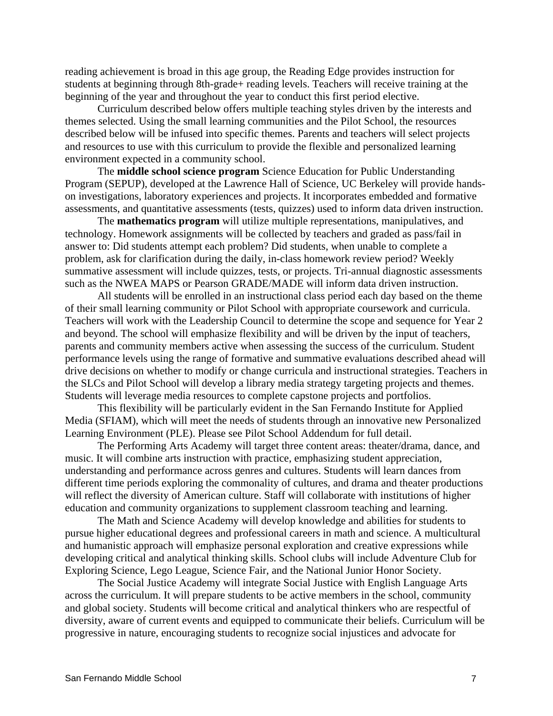reading achievement is broad in this age group, the Reading Edge provides instruction for students at beginning through 8th-grade+ reading levels. Teachers will receive training at the beginning of the year and throughout the year to conduct this first period elective.

Curriculum described below offers multiple teaching styles driven by the interests and themes selected. Using the small learning communities and the Pilot School, the resources described below will be infused into specific themes. Parents and teachers will select projects and resources to use with this curriculum to provide the flexible and personalized learning environment expected in a community school.

The **middle school science program** Science Education for Public Understanding Program (SEPUP), developed at the Lawrence Hall of Science, UC Berkeley will provide handson investigations, laboratory experiences and projects. It incorporates embedded and formative assessments, and quantitative assessments (tests, quizzes) used to inform data driven instruction.

The **mathematics program** will utilize multiple representations, manipulatives, and technology. Homework assignments will be collected by teachers and graded as pass/fail in answer to: Did students attempt each problem? Did students, when unable to complete a problem, ask for clarification during the daily, in-class homework review period? Weekly summative assessment will include quizzes, tests, or projects. Tri-annual diagnostic assessments such as the NWEA MAPS or Pearson GRADE/MADE will inform data driven instruction.

All students will be enrolled in an instructional class period each day based on the theme of their small learning community or Pilot School with appropriate coursework and curricula. Teachers will work with the Leadership Council to determine the scope and sequence for Year 2 and beyond. The school will emphasize flexibility and will be driven by the input of teachers, parents and community members active when assessing the success of the curriculum. Student performance levels using the range of formative and summative evaluations described ahead will drive decisions on whether to modify or change curricula and instructional strategies. Teachers in the SLCs and Pilot School will develop a library media strategy targeting projects and themes. Students will leverage media resources to complete capstone projects and portfolios.

This flexibility will be particularly evident in the San Fernando Institute for Applied Media (SFIAM), which will meet the needs of students through an innovative new Personalized Learning Environment (PLE). Please see Pilot School Addendum for full detail.

The Performing Arts Academy will target three content areas: theater/drama, dance, and music. It will combine arts instruction with practice, emphasizing student appreciation, understanding and performance across genres and cultures. Students will learn dances from different time periods exploring the commonality of cultures, and drama and theater productions will reflect the diversity of American culture. Staff will collaborate with institutions of higher education and community organizations to supplement classroom teaching and learning.

The Math and Science Academy will develop knowledge and abilities for students to pursue higher educational degrees and professional careers in math and science. A multicultural and humanistic approach will emphasize personal exploration and creative expressions while developing critical and analytical thinking skills. School clubs will include Adventure Club for Exploring Science, Lego League, Science Fair, and the National Junior Honor Society.

The Social Justice Academy will integrate Social Justice with English Language Arts across the curriculum. It will prepare students to be active members in the school, community and global society. Students will become critical and analytical thinkers who are respectful of diversity, aware of current events and equipped to communicate their beliefs. Curriculum will be progressive in nature, encouraging students to recognize social injustices and advocate for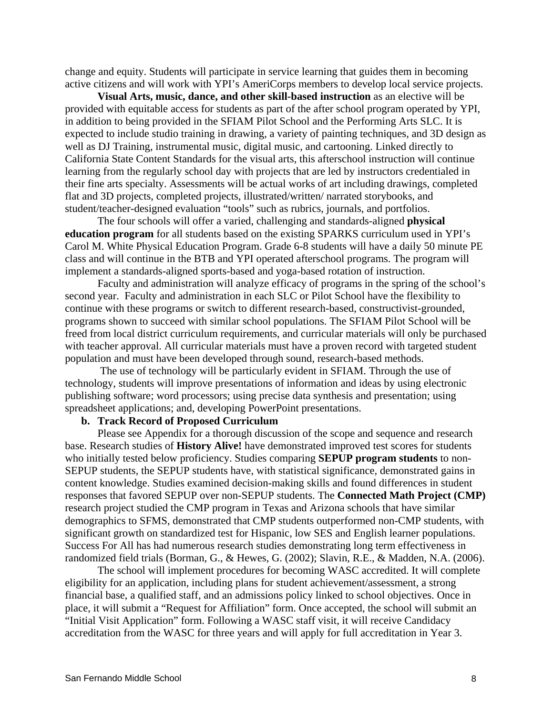change and equity. Students will participate in service learning that guides them in becoming active citizens and will work with YPI's AmeriCorps members to develop local service projects.

**Visual Arts, music, dance, and other skill-based instruction** as an elective will be provided with equitable access for students as part of the after school program operated by YPI, in addition to being provided in the SFIAM Pilot School and the Performing Arts SLC. It is expected to include studio training in drawing, a variety of painting techniques, and 3D design as well as DJ Training, instrumental music, digital music, and cartooning. Linked directly to California State Content Standards for the visual arts, this afterschool instruction will continue learning from the regularly school day with projects that are led by instructors credentialed in their fine arts specialty. Assessments will be actual works of art including drawings, completed flat and 3D projects, completed projects, illustrated/written/ narrated storybooks, and student/teacher-designed evaluation "tools" such as rubrics, journals, and portfolios.

The four schools will offer a varied, challenging and standards-aligned **physical education program** for all students based on the existing SPARKS curriculum used in YPI's Carol M. White Physical Education Program. Grade 6-8 students will have a daily 50 minute PE class and will continue in the BTB and YPI operated afterschool programs. The program will implement a standards-aligned sports-based and yoga-based rotation of instruction.

Faculty and administration will analyze efficacy of programs in the spring of the school's second year. Faculty and administration in each SLC or Pilot School have the flexibility to continue with these programs or switch to different research-based, constructivist-grounded, programs shown to succeed with similar school populations. The SFIAM Pilot School will be freed from local district curriculum requirements, and curricular materials will only be purchased with teacher approval. All curricular materials must have a proven record with targeted student population and must have been developed through sound, research-based methods.

 The use of technology will be particularly evident in SFIAM. Through the use of technology, students will improve presentations of information and ideas by using electronic publishing software; word processors; using precise data synthesis and presentation; using spreadsheet applications; and, developing PowerPoint presentations.

## **b. Track Record of Proposed Curriculum**

Please see Appendix for a thorough discussion of the scope and sequence and research base. Research studies of **History Alive!** have demonstrated improved test scores for students who initially tested below proficiency. Studies comparing **SEPUP program students** to non-SEPUP students, the SEPUP students have, with statistical significance, demonstrated gains in content knowledge. Studies examined decision-making skills and found differences in student responses that favored SEPUP over non-SEPUP students. The **Connected Math Project (CMP)** research project studied the CMP program in Texas and Arizona schools that have similar demographics to SFMS, demonstrated that CMP students outperformed non-CMP students, with significant growth on standardized test for Hispanic, low SES and English learner populations. Success For All has had numerous research studies demonstrating long term effectiveness in randomized field trials (Borman, G., & Hewes, G. (2002); Slavin, R.E., & Madden, N.A. (2006).

The school will implement procedures for becoming WASC accredited. It will complete eligibility for an application, including plans for student achievement/assessment, a strong financial base, a qualified staff, and an admissions policy linked to school objectives. Once in place, it will submit a "Request for Affiliation" form. Once accepted, the school will submit an "Initial Visit Application" form. Following a WASC staff visit, it will receive Candidacy accreditation from the WASC for three years and will apply for full accreditation in Year 3.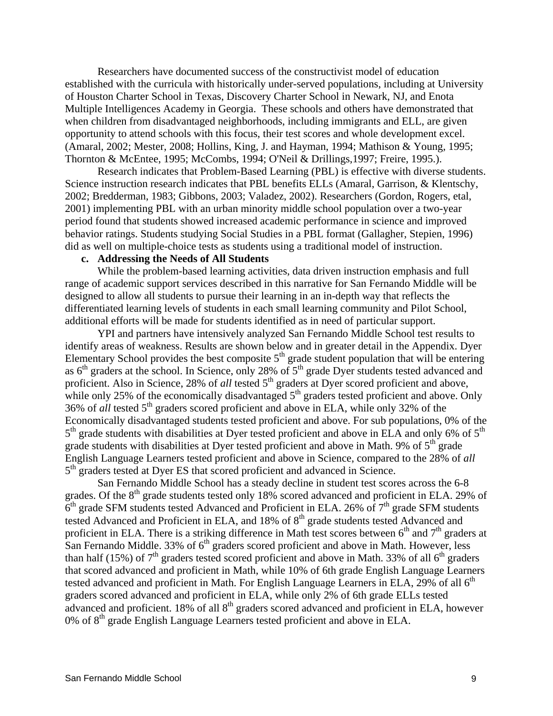Researchers have documented success of the constructivist model of education established with the curricula with historically under-served populations, including at University of Houston Charter School in Texas, Discovery Charter School in Newark, NJ, and Enota Multiple Intelligences Academy in Georgia. These schools and others have demonstrated that when children from disadvantaged neighborhoods, including immigrants and ELL, are given opportunity to attend schools with this focus, their test scores and whole development excel. (Amaral, 2002; Mester, 2008; Hollins, King, J. and Hayman, 1994; Mathison & Young, 1995; Thornton & McEntee, 1995; McCombs, 1994; O'Neil & Drillings,1997; Freire, 1995.).

Research indicates that Problem-Based Learning (PBL) is effective with diverse students. Science instruction research indicates that PBL benefits ELLs (Amaral, Garrison, & Klentschy, 2002; Bredderman, 1983; Gibbons, 2003; Valadez, 2002). Researchers (Gordon, Rogers, etal, 2001) implementing PBL with an urban minority middle school population over a two-year period found that students showed increased academic performance in science and improved behavior ratings. Students studying Social Studies in a PBL format (Gallagher, Stepien, 1996) did as well on multiple-choice tests as students using a traditional model of instruction.

### **c. Addressing the Needs of All Students**

While the problem-based learning activities, data driven instruction emphasis and full range of academic support services described in this narrative for San Fernando Middle will be designed to allow all students to pursue their learning in an in-depth way that reflects the differentiated learning levels of students in each small learning community and Pilot School, additional efforts will be made for students identified as in need of particular support.

YPI and partners have intensively analyzed San Fernando Middle School test results to identify areas of weakness. Results are shown below and in greater detail in the Appendix. Dyer Elementary School provides the best composite  $5<sup>th</sup>$  grade student population that will be entering as  $6<sup>th</sup>$  graders at the school. In Science, only 28% of  $5<sup>th</sup>$  grade Dyer students tested advanced and proficient. Also in Science, 28% of *all* tested 5<sup>th</sup> graders at Dyer scored proficient and above, while only 25% of the economically disadvantaged  $5<sup>th</sup>$  graders tested proficient and above. Only 36% of *all* tested 5<sup>th</sup> graders scored proficient and above in ELA, while only 32% of the Economically disadvantaged students tested proficient and above. For sub populations, 0% of the  $5<sup>th</sup>$  grade students with disabilities at Dyer tested proficient and above in ELA and only 6% of  $5<sup>th</sup>$ grade students with disabilities at Dyer tested proficient and above in Math. 9% of 5<sup>th</sup> grade English Language Learners tested proficient and above in Science, compared to the 28% of *all*  5<sup>th</sup> graders tested at Dyer ES that scored proficient and advanced in Science.

San Fernando Middle School has a steady decline in student test scores across the 6-8 grades. Of the  $8<sup>th</sup>$  grade students tested only 18% scored advanced and proficient in ELA. 29% of  $6<sup>th</sup>$  grade SFM students tested Advanced and Proficient in ELA. 26% of  $7<sup>th</sup>$  grade SFM students tested Advanced and Proficient in ELA, and 18% of 8<sup>th</sup> grade students tested Advanced and proficient in ELA. There is a striking difference in Math test scores between  $6<sup>th</sup>$  and  $7<sup>th</sup>$  graders at San Fernando Middle. 33% of  $6<sup>th</sup>$  graders scored proficient and above in Math. However, less than half (15%) of  $7<sup>th</sup>$  graders tested scored proficient and above in Math. 33% of all  $6<sup>th</sup>$  graders that scored advanced and proficient in Math, while 10% of 6th grade English Language Learners tested advanced and proficient in Math. For English Language Learners in ELA, 29% of all  $6<sup>th</sup>$ graders scored advanced and proficient in ELA, while only 2% of 6th grade ELLs tested advanced and proficient.  $18\%$  of all  $8<sup>th</sup>$  graders scored advanced and proficient in ELA, however  $0\%$  of  $8<sup>th</sup>$  grade English Language Learners tested proficient and above in ELA.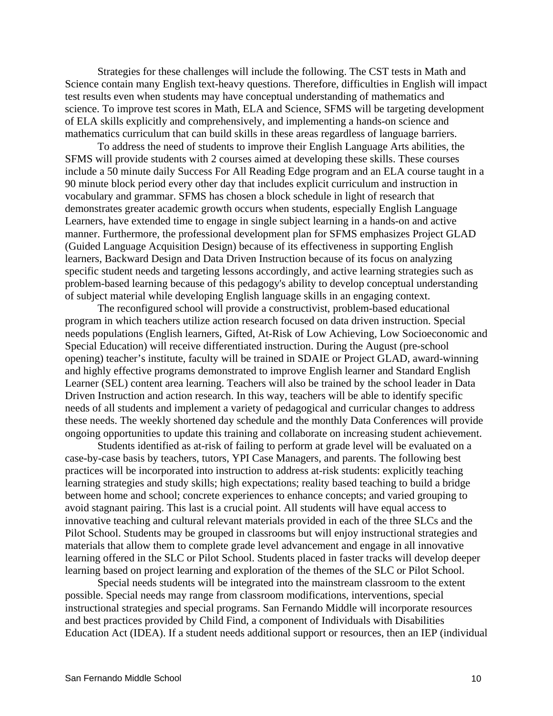Strategies for these challenges will include the following. The CST tests in Math and Science contain many English text-heavy questions. Therefore, difficulties in English will impact test results even when students may have conceptual understanding of mathematics and science. To improve test scores in Math, ELA and Science, SFMS will be targeting development of ELA skills explicitly and comprehensively, and implementing a hands-on science and mathematics curriculum that can build skills in these areas regardless of language barriers.

To address the need of students to improve their English Language Arts abilities, the SFMS will provide students with 2 courses aimed at developing these skills. These courses include a 50 minute daily Success For All Reading Edge program and an ELA course taught in a 90 minute block period every other day that includes explicit curriculum and instruction in vocabulary and grammar. SFMS has chosen a block schedule in light of research that demonstrates greater academic growth occurs when students, especially English Language Learners, have extended time to engage in single subject learning in a hands-on and active manner. Furthermore, the professional development plan for SFMS emphasizes Project GLAD (Guided Language Acquisition Design) because of its effectiveness in supporting English learners, Backward Design and Data Driven Instruction because of its focus on analyzing specific student needs and targeting lessons accordingly, and active learning strategies such as problem-based learning because of this pedagogy's ability to develop conceptual understanding of subject material while developing English language skills in an engaging context.

The reconfigured school will provide a constructivist, problem-based educational program in which teachers utilize action research focused on data driven instruction. Special needs populations (English learners, Gifted, At-Risk of Low Achieving, Low Socioeconomic and Special Education) will receive differentiated instruction. During the August (pre-school opening) teacher's institute, faculty will be trained in SDAIE or Project GLAD, award-winning and highly effective programs demonstrated to improve English learner and Standard English Learner (SEL) content area learning. Teachers will also be trained by the school leader in Data Driven Instruction and action research. In this way, teachers will be able to identify specific needs of all students and implement a variety of pedagogical and curricular changes to address these needs. The weekly shortened day schedule and the monthly Data Conferences will provide ongoing opportunities to update this training and collaborate on increasing student achievement.

Students identified as at-risk of failing to perform at grade level will be evaluated on a case-by-case basis by teachers, tutors, YPI Case Managers, and parents. The following best practices will be incorporated into instruction to address at-risk students: explicitly teaching learning strategies and study skills; high expectations; reality based teaching to build a bridge between home and school; concrete experiences to enhance concepts; and varied grouping to avoid stagnant pairing. This last is a crucial point. All students will have equal access to innovative teaching and cultural relevant materials provided in each of the three SLCs and the Pilot School. Students may be grouped in classrooms but will enjoy instructional strategies and materials that allow them to complete grade level advancement and engage in all innovative learning offered in the SLC or Pilot School. Students placed in faster tracks will develop deeper learning based on project learning and exploration of the themes of the SLC or Pilot School.

Special needs students will be integrated into the mainstream classroom to the extent possible. Special needs may range from classroom modifications, interventions, special instructional strategies and special programs. San Fernando Middle will incorporate resources and best practices provided by Child Find, a component of Individuals with Disabilities Education Act (IDEA). If a student needs additional support or resources, then an IEP (individual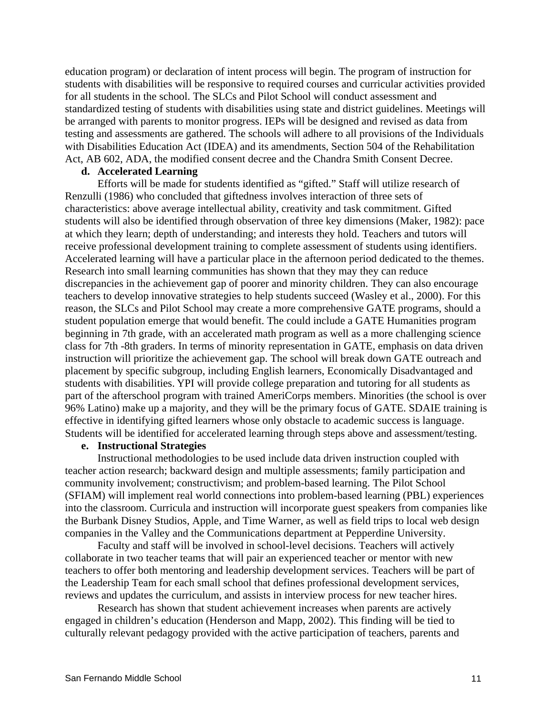education program) or declaration of intent process will begin. The program of instruction for students with disabilities will be responsive to required courses and curricular activities provided for all students in the school. The SLCs and Pilot School will conduct assessment and standardized testing of students with disabilities using state and district guidelines. Meetings will be arranged with parents to monitor progress. IEPs will be designed and revised as data from testing and assessments are gathered. The schools will adhere to all provisions of the Individuals with Disabilities Education Act (IDEA) and its amendments, Section 504 of the Rehabilitation Act, AB 602, ADA, the modified consent decree and the Chandra Smith Consent Decree.

#### **d. Accelerated Learning**

Efforts will be made for students identified as "gifted." Staff will utilize research of Renzulli (1986) who concluded that giftedness involves interaction of three sets of characteristics: above average intellectual ability, creativity and task commitment. Gifted students will also be identified through observation of three key dimensions (Maker, 1982): pace at which they learn; depth of understanding; and interests they hold. Teachers and tutors will receive professional development training to complete assessment of students using identifiers. Accelerated learning will have a particular place in the afternoon period dedicated to the themes. Research into small learning communities has shown that they may they can reduce discrepancies in the achievement gap of poorer and minority children. They can also encourage teachers to develop innovative strategies to help students succeed (Wasley et al., 2000). For this reason, the SLCs and Pilot School may create a more comprehensive GATE programs, should a student population emerge that would benefit. The could include a GATE Humanities program beginning in 7th grade, with an accelerated math program as well as a more challenging science class for 7th -8th graders. In terms of minority representation in GATE, emphasis on data driven instruction will prioritize the achievement gap. The school will break down GATE outreach and placement by specific subgroup, including English learners, Economically Disadvantaged and students with disabilities. YPI will provide college preparation and tutoring for all students as part of the afterschool program with trained AmeriCorps members. Minorities (the school is over 96% Latino) make up a majority, and they will be the primary focus of GATE. SDAIE training is effective in identifying gifted learners whose only obstacle to academic success is language. Students will be identified for accelerated learning through steps above and assessment/testing.

## **e. Instructional Strategies**

Instructional methodologies to be used include data driven instruction coupled with teacher action research; backward design and multiple assessments; family participation and community involvement; constructivism; and problem-based learning. The Pilot School (SFIAM) will implement real world connections into problem-based learning (PBL) experiences into the classroom. Curricula and instruction will incorporate guest speakers from companies like the Burbank Disney Studios, Apple, and Time Warner, as well as field trips to local web design companies in the Valley and the Communications department at Pepperdine University.

Faculty and staff will be involved in school-level decisions. Teachers will actively collaborate in two teacher teams that will pair an experienced teacher or mentor with new teachers to offer both mentoring and leadership development services. Teachers will be part of the Leadership Team for each small school that defines professional development services, reviews and updates the curriculum, and assists in interview process for new teacher hires.

Research has shown that student achievement increases when parents are actively engaged in children's education (Henderson and Mapp, 2002). This finding will be tied to culturally relevant pedagogy provided with the active participation of teachers, parents and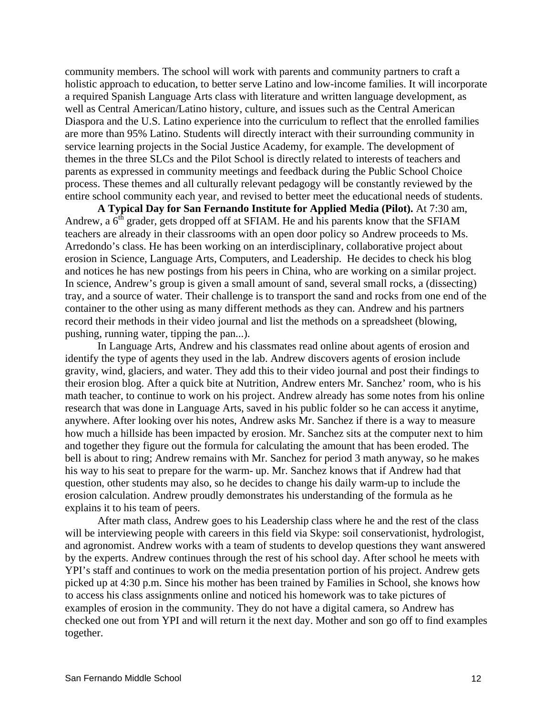community members. The school will work with parents and community partners to craft a holistic approach to education, to better serve Latino and low-income families. It will incorporate a required Spanish Language Arts class with literature and written language development, as well as Central American/Latino history, culture, and issues such as the Central American Diaspora and the U.S. Latino experience into the curriculum to reflect that the enrolled families are more than 95% Latino. Students will directly interact with their surrounding community in service learning projects in the Social Justice Academy, for example. The development of themes in the three SLCs and the Pilot School is directly related to interests of teachers and parents as expressed in community meetings and feedback during the Public School Choice process. These themes and all culturally relevant pedagogy will be constantly reviewed by the entire school community each year, and revised to better meet the educational needs of students.

**A Typical Day for San Fernando Institute for Applied Media (Pilot).** At 7:30 am, Andrew, a  $6<sup>th</sup>$  grader, gets dropped off at SFIAM. He and his parents know that the SFIAM teachers are already in their classrooms with an open door policy so Andrew proceeds to Ms. Arredondo's class. He has been working on an interdisciplinary, collaborative project about erosion in Science, Language Arts, Computers, and Leadership. He decides to check his blog and notices he has new postings from his peers in China, who are working on a similar project. In science, Andrew's group is given a small amount of sand, several small rocks, a (dissecting) tray, and a source of water. Their challenge is to transport the sand and rocks from one end of the container to the other using as many different methods as they can. Andrew and his partners record their methods in their video journal and list the methods on a spreadsheet (blowing, pushing, running water, tipping the pan...).

In Language Arts, Andrew and his classmates read online about agents of erosion and identify the type of agents they used in the lab. Andrew discovers agents of erosion include gravity, wind, glaciers, and water. They add this to their video journal and post their findings to their erosion blog. After a quick bite at Nutrition, Andrew enters Mr. Sanchez' room, who is his math teacher, to continue to work on his project. Andrew already has some notes from his online research that was done in Language Arts, saved in his public folder so he can access it anytime, anywhere. After looking over his notes, Andrew asks Mr. Sanchez if there is a way to measure how much a hillside has been impacted by erosion. Mr. Sanchez sits at the computer next to him and together they figure out the formula for calculating the amount that has been eroded. The bell is about to ring; Andrew remains with Mr. Sanchez for period 3 math anyway, so he makes his way to his seat to prepare for the warm- up. Mr. Sanchez knows that if Andrew had that question, other students may also, so he decides to change his daily warm-up to include the erosion calculation. Andrew proudly demonstrates his understanding of the formula as he explains it to his team of peers.

After math class, Andrew goes to his Leadership class where he and the rest of the class will be interviewing people with careers in this field via Skype: soil conservationist, hydrologist, and agronomist. Andrew works with a team of students to develop questions they want answered by the experts. Andrew continues through the rest of his school day. After school he meets with YPI's staff and continues to work on the media presentation portion of his project. Andrew gets picked up at 4:30 p.m. Since his mother has been trained by Families in School, she knows how to access his class assignments online and noticed his homework was to take pictures of examples of erosion in the community. They do not have a digital camera, so Andrew has checked one out from YPI and will return it the next day. Mother and son go off to find examples together.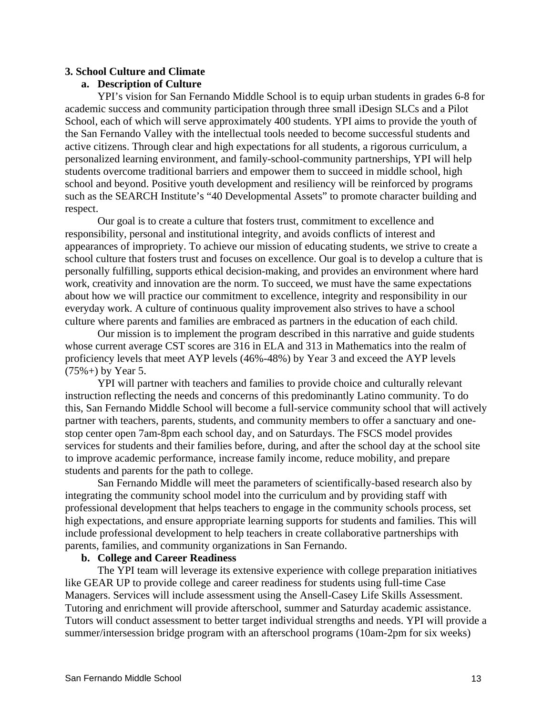## **3. School Culture and Climate**

## **a. Description of Culture**

YPI's vision for San Fernando Middle School is to equip urban students in grades 6-8 for academic success and community participation through three small iDesign SLCs and a Pilot School, each of which will serve approximately 400 students. YPI aims to provide the youth of the San Fernando Valley with the intellectual tools needed to become successful students and active citizens. Through clear and high expectations for all students, a rigorous curriculum, a personalized learning environment, and family-school-community partnerships, YPI will help students overcome traditional barriers and empower them to succeed in middle school, high school and beyond. Positive youth development and resiliency will be reinforced by programs such as the SEARCH Institute's "40 Developmental Assets" to promote character building and respect.

Our goal is to create a culture that fosters trust, commitment to excellence and responsibility, personal and institutional integrity, and avoids conflicts of interest and appearances of impropriety. To achieve our mission of educating students, we strive to create a school culture that fosters trust and focuses on excellence. Our goal is to develop a culture that is personally fulfilling, supports ethical decision-making, and provides an environment where hard work, creativity and innovation are the norm. To succeed, we must have the same expectations about how we will practice our commitment to excellence, integrity and responsibility in our everyday work. A culture of continuous quality improvement also strives to have a school culture where parents and families are embraced as partners in the education of each child.

Our mission is to implement the program described in this narrative and guide students whose current average CST scores are 316 in ELA and 313 in Mathematics into the realm of proficiency levels that meet AYP levels (46%-48%) by Year 3 and exceed the AYP levels  $(75\% +)$  by Year 5.

YPI will partner with teachers and families to provide choice and culturally relevant instruction reflecting the needs and concerns of this predominantly Latino community. To do this, San Fernando Middle School will become a full-service community school that will actively partner with teachers, parents, students, and community members to offer a sanctuary and onestop center open 7am-8pm each school day, and on Saturdays. The FSCS model provides services for students and their families before, during, and after the school day at the school site to improve academic performance, increase family income, reduce mobility, and prepare students and parents for the path to college.

San Fernando Middle will meet the parameters of scientifically-based research also by integrating the community school model into the curriculum and by providing staff with professional development that helps teachers to engage in the community schools process, set high expectations, and ensure appropriate learning supports for students and families. This will include professional development to help teachers in create collaborative partnerships with parents, families, and community organizations in San Fernando.

## **b. College and Career Readiness**

The YPI team will leverage its extensive experience with college preparation initiatives like GEAR UP to provide college and career readiness for students using full-time Case Managers. Services will include assessment using the Ansell-Casey Life Skills Assessment. Tutoring and enrichment will provide afterschool, summer and Saturday academic assistance. Tutors will conduct assessment to better target individual strengths and needs. YPI will provide a summer/intersession bridge program with an afterschool programs (10am-2pm for six weeks)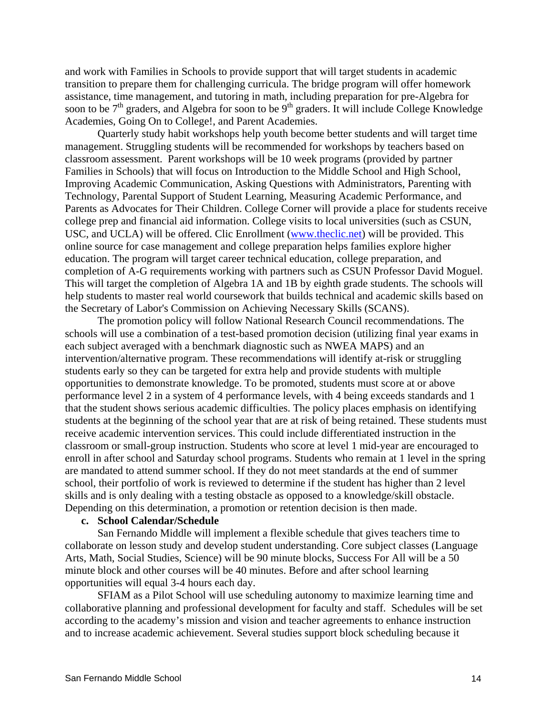and work with Families in Schools to provide support that will target students in academic transition to prepare them for challenging curricula. The bridge program will offer homework assistance, time management, and tutoring in math, including preparation for pre-Algebra for soon to be  $7<sup>th</sup>$  graders, and Algebra for soon to be  $9<sup>th</sup>$  graders. It will include College Knowledge Academies, Going On to College!, and Parent Academies.

Quarterly study habit workshops help youth become better students and will target time management. Struggling students will be recommended for workshops by teachers based on classroom assessment. Parent workshops will be 10 week programs (provided by partner Families in Schools) that will focus on Introduction to the Middle School and High School, Improving Academic Communication, Asking Questions with Administrators, Parenting with Technology, Parental Support of Student Learning, Measuring Academic Performance, and Parents as Advocates for Their Children. College Corner will provide a place for students receive college prep and financial aid information. College visits to local universities (such as CSUN, USC, and UCLA) will be offered. Clic Enrollment [\(www.theclic.net\)](http://www.theclic.net/) will be provided. This online source for case management and college preparation helps families explore higher education. The program will target career technical education, college preparation, and completion of A-G requirements working with partners such as CSUN Professor David Moguel. This will target the completion of Algebra 1A and 1B by eighth grade students. The schools will help students to master real world coursework that builds technical and academic skills based on the Secretary of Labor's Commission on Achieving Necessary Skills (SCANS).

The promotion policy will follow National Research Council recommendations. The schools will use a combination of a test-based promotion decision (utilizing final year exams in each subject averaged with a benchmark diagnostic such as NWEA MAPS) and an intervention/alternative program. These recommendations will identify at-risk or struggling students early so they can be targeted for extra help and provide students with multiple opportunities to demonstrate knowledge. To be promoted, students must score at or above performance level 2 in a system of 4 performance levels, with 4 being exceeds standards and 1 that the student shows serious academic difficulties. The policy places emphasis on identifying students at the beginning of the school year that are at risk of being retained. These students must receive academic intervention services. This could include differentiated instruction in the classroom or small-group instruction. Students who score at level 1 mid-year are encouraged to enroll in after school and Saturday school programs. Students who remain at 1 level in the spring are mandated to attend summer school. If they do not meet standards at the end of summer school, their portfolio of work is reviewed to determine if the student has higher than 2 level skills and is only dealing with a testing obstacle as opposed to a knowledge/skill obstacle. Depending on this determination, a promotion or retention decision is then made.

#### **c. School Calendar/Schedule**

San Fernando Middle will implement a flexible schedule that gives teachers time to collaborate on lesson study and develop student understanding. Core subject classes (Language Arts, Math, Social Studies, Science) will be 90 minute blocks, Success For All will be a 50 minute block and other courses will be 40 minutes. Before and after school learning opportunities will equal 3-4 hours each day.

SFIAM as a Pilot School will use scheduling autonomy to maximize learning time and collaborative planning and professional development for faculty and staff. Schedules will be set according to the academy's mission and vision and teacher agreements to enhance instruction and to increase academic achievement. Several studies support block scheduling because it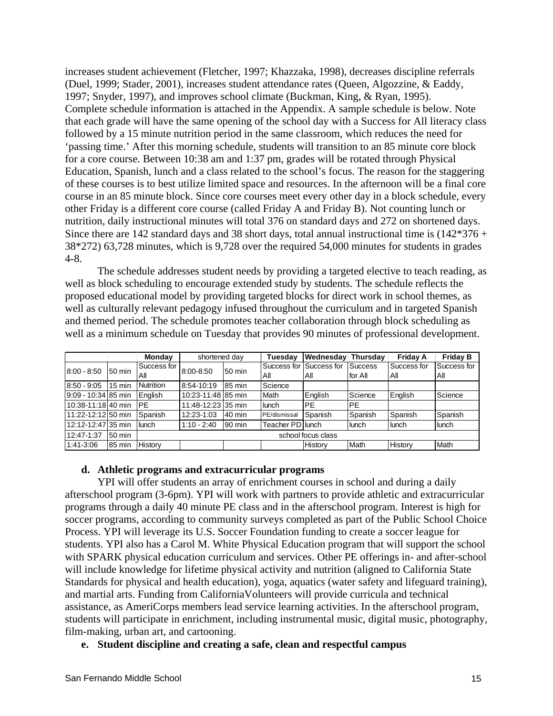increases student achievement (Fletcher, 1997; Khazzaka, 1998), decreases discipline referrals (Duel, 1999; Stader, 2001), increases student attendance rates (Queen, Algozzine, & Eaddy, 1997; Snyder, 1997), and improves school climate (Buckman, King, & Ryan, 1995). Complete schedule information is attached in the Appendix. A sample schedule is below. Note that each grade will have the same opening of the school day with a Success for All literacy class followed by a 15 minute nutrition period in the same classroom, which reduces the need for 'passing time.' After this morning schedule, students will transition to an 85 minute core block for a core course. Between 10:38 am and 1:37 pm, grades will be rotated through Physical Education, Spanish, lunch and a class related to the school's focus. The reason for the staggering of these courses is to best utilize limited space and resources. In the afternoon will be a final core course in an 85 minute block. Since core courses meet every other day in a block schedule, every other Friday is a different core course (called Friday A and Friday B). Not counting lunch or nutrition, daily instructional minutes will total 376 on standard days and 272 on shortened days. Since there are 142 standard days and 38 short days, total annual instructional time is  $(142*376 +$ 38\*272) 63,728 minutes, which is 9,728 over the required 54,000 minutes for students in grades 4-8.

The schedule addresses student needs by providing a targeted elective to teach reading, as well as block scheduling to encourage extended study by students. The schedule reflects the proposed educational model by providing targeted blocks for direct work in school themes, as well as culturally relevant pedagogy infused throughout the curriculum and in targeted Spanish and themed period. The schedule promotes teacher collaboration through block scheduling as well as a minimum schedule on Tuesday that provides 90 minutes of professional development.

|                       |                  | Monday             | shortened day      |        | Tuesdav          | Wednesday               | <b>Thursdav</b> | <b>Friday A</b> | <b>Friday B</b> |
|-----------------------|------------------|--------------------|--------------------|--------|------------------|-------------------------|-----------------|-----------------|-----------------|
| $8:00 - 8:50$         | 50 min           | Success for I      | 8:00-8:50          | 50 min |                  | Success for Success for | Success         | Success for     | Success for     |
|                       |                  | All                |                    |        | All              | All                     | lfor All        | All             | All             |
| $8:50 - 9:05$         | $15 \text{ min}$ | <b>Nutrition</b>   | 8:54-10:19         | 85 min | Science          |                         |                 |                 |                 |
| 9:09 - 10:34 85 min   |                  | Enalish            | 10:23-11:48 85 min |        | Math             | English                 | Science         | English         | Science         |
| l 10:38-11:18l 40 min |                  | <b>PF</b>          | 11:48-12:23135 min |        | lunch            | <b>IPE</b>              | <b>PE</b>       |                 |                 |
| 11:22-12:12 50 min    |                  | Spanish            | 12:23-1:03         | 40 min | PE/dismissal     | Spanish                 | Spanish         | Spanish         | Spanish         |
| 12:12-12:47 35 min    |                  | lunch              | $1:10 - 2:40$      | 90 min | Teacher PD lunch |                         | lunch           | lunch           | <b>Ilunch</b>   |
| 12:47-1:37            | 50 min           | school focus class |                    |        |                  |                         |                 |                 |                 |
| 1:41-3:06             | 85 min           | History            |                    |        |                  | History                 | <b>Math</b>     | History         | Math            |

## **d. Athletic programs and extracurricular programs**

YPI will offer students an array of enrichment courses in school and during a daily afterschool program (3-6pm). YPI will work with partners to provide athletic and extracurricular programs through a daily 40 minute PE class and in the afterschool program. Interest is high for soccer programs, according to community surveys completed as part of the Public School Choice Process. YPI will leverage its U.S. Soccer Foundation funding to create a soccer league for students. YPI also has a Carol M. White Physical Education program that will support the school with SPARK physical education curriculum and services. Other PE offerings in- and after-school will include knowledge for lifetime physical activity and nutrition (aligned to California State Standards for physical and health education), yoga, aquatics (water safety and lifeguard training), and martial arts. Funding from CaliforniaVolunteers will provide curricula and technical assistance, as AmeriCorps members lead service learning activities. In the afterschool program, students will participate in enrichment, including instrumental music, digital music, photography, film-making, urban art, and cartooning.

# **e. Student discipline and creating a safe, clean and respectful campus**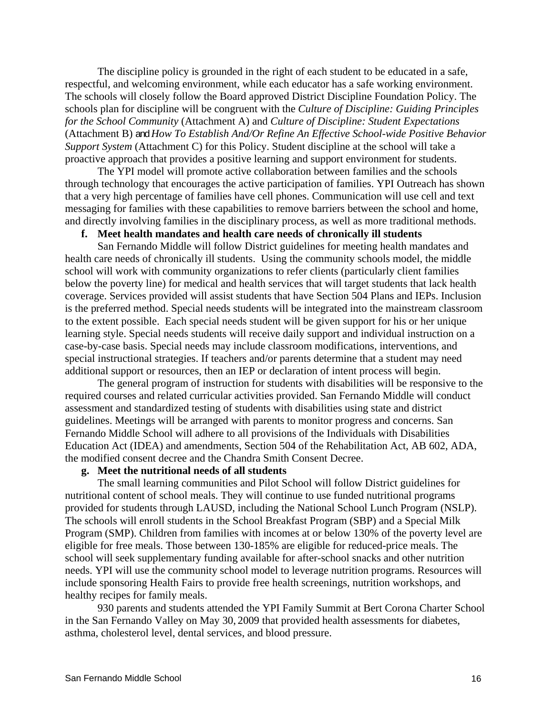The discipline policy is grounded in the right of each student to be educated in a safe, respectful, and welcoming environment, while each educator has a safe working environment. The schools will closely follow the Board approved District Discipline Foundation Policy. The schools plan for discipline will be congruent with the *Culture of Discipline: Guiding Principles for the School Community* (Attachment A) and *Culture of Discipline: Student Expectations*  (Attachment B) and *How To Establish And/Or Refine An Effective School-wide Positive Behavior Support System* (Attachment C) for this Policy. Student discipline at the school will take a proactive approach that provides a positive learning and support environment for students.

The YPI model will promote active collaboration between families and the schools through technology that encourages the active participation of families. YPI Outreach has shown that a very high percentage of families have cell phones. Communication will use cell and text messaging for families with these capabilities to remove barriers between the school and home, and directly involving families in the disciplinary process, as well as more traditional methods.

## **f. Meet health mandates and health care needs of chronically ill students**

San Fernando Middle will follow District guidelines for meeting health mandates and health care needs of chronically ill students. Using the community schools model, the middle school will work with community organizations to refer clients (particularly client families below the poverty line) for medical and health services that will target students that lack health coverage. Services provided will assist students that have Section 504 Plans and IEPs. Inclusion is the preferred method. Special needs students will be integrated into the mainstream classroom to the extent possible. Each special needs student will be given support for his or her unique learning style. Special needs students will receive daily support and individual instruction on a case-by-case basis. Special needs may include classroom modifications, interventions, and special instructional strategies. If teachers and/or parents determine that a student may need additional support or resources, then an IEP or declaration of intent process will begin.

The general program of instruction for students with disabilities will be responsive to the required courses and related curricular activities provided. San Fernando Middle will conduct assessment and standardized testing of students with disabilities using state and district guidelines. Meetings will be arranged with parents to monitor progress and concerns. San Fernando Middle School will adhere to all provisions of the Individuals with Disabilities Education Act (IDEA) and amendments, Section 504 of the Rehabilitation Act, AB 602, ADA, the modified consent decree and the Chandra Smith Consent Decree.

#### **g. Meet the nutritional needs of all students**

The small learning communities and Pilot School will follow District guidelines for nutritional content of school meals. They will continue to use funded nutritional programs provided for students through LAUSD, including the National School Lunch Program (NSLP). The schools will enroll students in the School Breakfast Program (SBP) and a Special Milk Program (SMP). Children from families with incomes at or below 130% of the poverty level are eligible for free meals. Those between 130-185% are eligible for reduced-price meals. The school will seek supplementary funding available for after-school snacks and other nutrition needs. YPI will use the community school model to leverage nutrition programs. Resources will include sponsoring Health Fairs to provide free health screenings, nutrition workshops, and healthy recipes for family meals.

930 parents and students attended the YPI Family Summit at Bert Corona Charter School in the San Fernando Valley on May 30, 2009 that provided health assessments for diabetes, asthma, cholesterol level, dental services, and blood pressure.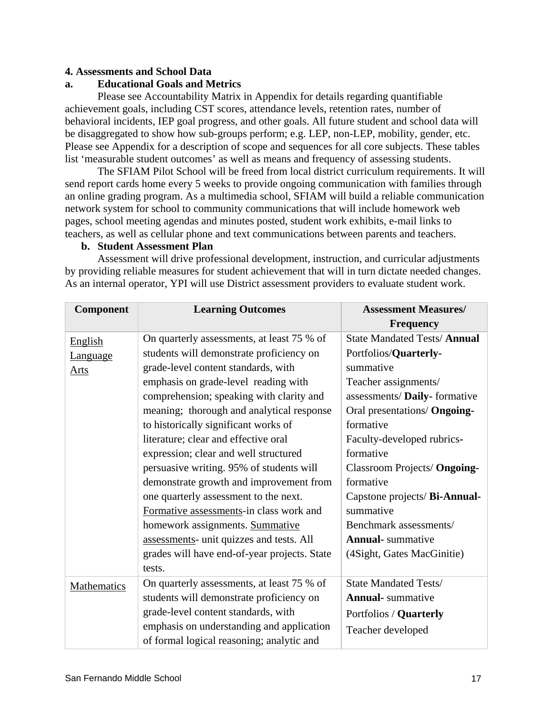## **4. Assessments and School Data**

## **a. Educational Goals and Metrics**

 Please see Accountability Matrix in Appendix for details regarding quantifiable achievement goals, including CST scores, attendance levels, retention rates, number of behavioral incidents, IEP goal progress, and other goals. All future student and school data will be disaggregated to show how sub-groups perform; e.g. LEP, non-LEP, mobility, gender, etc. Please see Appendix for a description of scope and sequences for all core subjects. These tables list 'measurable student outcomes' as well as means and frequency of assessing students.

 The SFIAM Pilot School will be freed from local district curriculum requirements. It will send report cards home every 5 weeks to provide ongoing communication with families through an online grading program. As a multimedia school, SFIAM will build a reliable communication network system for school to community communications that will include homework web pages, school meeting agendas and minutes posted, student work exhibits, e-mail links to teachers, as well as cellular phone and text communications between parents and teachers.

## **b. Student Assessment Plan**

Assessment will drive professional development, instruction, and curricular adjustments by providing reliable measures for student achievement that will in turn dictate needed changes. As an internal operator, YPI will use District assessment providers to evaluate student work.

| Component       | <b>Learning Outcomes</b>                     | <b>Assessment Measures/</b>        |  |  |  |
|-----------------|----------------------------------------------|------------------------------------|--|--|--|
|                 |                                              | <b>Frequency</b>                   |  |  |  |
| English         | On quarterly assessments, at least 75 % of   | <b>State Mandated Tests/Annual</b> |  |  |  |
| <b>Language</b> | students will demonstrate proficiency on     | Portfolios/Quarterly-              |  |  |  |
| Arts            | grade-level content standards, with          | summative                          |  |  |  |
|                 | emphasis on grade-level reading with         | Teacher assignments/               |  |  |  |
|                 | comprehension; speaking with clarity and     | assessments/ Daily- formative      |  |  |  |
|                 | meaning; thorough and analytical response    | Oral presentations/ Ongoing-       |  |  |  |
|                 | to historically significant works of         | formative                          |  |  |  |
|                 | literature; clear and effective oral         | Faculty-developed rubrics-         |  |  |  |
|                 | expression; clear and well structured        | formative                          |  |  |  |
|                 | persuasive writing. 95% of students will     | Classroom Projects/ Ongoing-       |  |  |  |
|                 | demonstrate growth and improvement from      | formative                          |  |  |  |
|                 | one quarterly assessment to the next.        | Capstone projects/ Bi-Annual-      |  |  |  |
|                 | Formative assessments-in class work and      | summative                          |  |  |  |
|                 | homework assignments. Summative              | Benchmark assessments/             |  |  |  |
|                 | assessments- unit quizzes and tests. All     | <b>Annual-</b> summative           |  |  |  |
|                 | grades will have end-of-year projects. State | (4Sight, Gates MacGinitie)         |  |  |  |
|                 | tests.                                       |                                    |  |  |  |
| Mathematics     | On quarterly assessments, at least 75 % of   | <b>State Mandated Tests/</b>       |  |  |  |
|                 | students will demonstrate proficiency on     | <b>Annual-</b> summative           |  |  |  |
|                 | grade-level content standards, with          | Portfolios / Quarterly             |  |  |  |
|                 | emphasis on understanding and application    | Teacher developed                  |  |  |  |
|                 | of formal logical reasoning; analytic and    |                                    |  |  |  |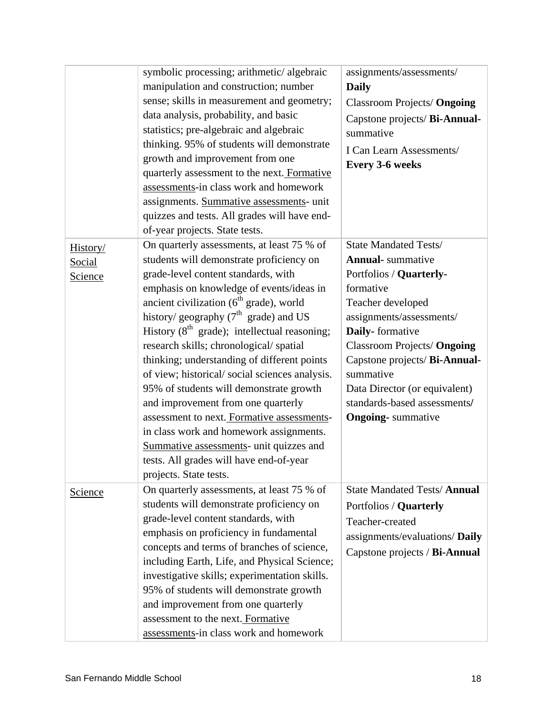|                               | symbolic processing; arithmetic/algebraic<br>manipulation and construction; number<br>sense; skills in measurement and geometry;<br>data analysis, probability, and basic<br>statistics; pre-algebraic and algebraic<br>thinking. 95% of students will demonstrate<br>growth and improvement from one<br>quarterly assessment to the next. Formative<br>assessments-in class work and homework<br>assignments. Summative assessments- unit<br>quizzes and tests. All grades will have end-<br>of-year projects. State tests.                                                                                                                                                                                                                                              | assignments/assessments/<br><b>Daily</b><br><b>Classroom Projects/ Ongoing</b><br>Capstone projects/ Bi-Annual-<br>summative<br>I Can Learn Assessments/<br><b>Every 3-6 weeks</b>                                                                                                                                                              |
|-------------------------------|---------------------------------------------------------------------------------------------------------------------------------------------------------------------------------------------------------------------------------------------------------------------------------------------------------------------------------------------------------------------------------------------------------------------------------------------------------------------------------------------------------------------------------------------------------------------------------------------------------------------------------------------------------------------------------------------------------------------------------------------------------------------------|-------------------------------------------------------------------------------------------------------------------------------------------------------------------------------------------------------------------------------------------------------------------------------------------------------------------------------------------------|
| History/<br>Social<br>Science | On quarterly assessments, at least 75 % of<br>students will demonstrate proficiency on<br>grade-level content standards, with<br>emphasis on knowledge of events/ideas in<br>ancient civilization $(6th \text{ grade})$ , world<br>history/ geography $(7th$ grade) and US<br>History $(8th \text{ grade})$ ; intellectual reasoning;<br>research skills; chronological/spatial<br>thinking; understanding of different points<br>of view; historical/social sciences analysis.<br>95% of students will demonstrate growth<br>and improvement from one quarterly<br>assessment to next. Formative assessments-<br>in class work and homework assignments.<br>Summative assessments- unit quizzes and<br>tests. All grades will have end-of-year<br>projects. State tests. | <b>State Mandated Tests/</b><br><b>Annual-</b> summative<br>Portfolios / Quarterly-<br>formative<br>Teacher developed<br>assignments/assessments/<br>Daily-formative<br>Classroom Projects/ Ongoing<br>Capstone projects/ Bi-Annual-<br>summative<br>Data Director (or equivalent)<br>standards-based assessments/<br><b>Ongoing-</b> summative |
| Science                       | On quarterly assessments, at least 75 % of<br>students will demonstrate proficiency on<br>grade-level content standards, with<br>emphasis on proficiency in fundamental<br>concepts and terms of branches of science,<br>including Earth, Life, and Physical Science;<br>investigative skills; experimentation skills.<br>95% of students will demonstrate growth<br>and improvement from one quarterly<br>assessment to the next. Formative<br>assessments-in class work and homework                                                                                                                                                                                                                                                                                    | <b>State Mandated Tests/Annual</b><br>Portfolios / Quarterly<br>Teacher-created<br>assignments/evaluations/ Daily<br>Capstone projects / Bi-Annual                                                                                                                                                                                              |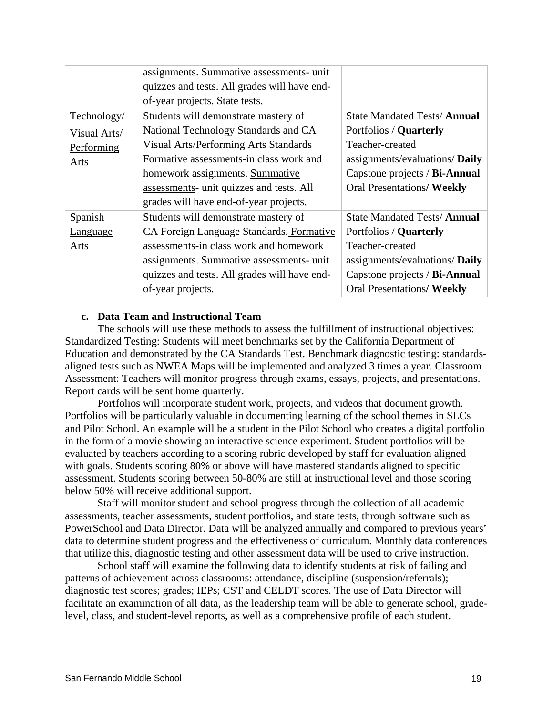|                 | assignments. Summative assessments- unit     |                                    |
|-----------------|----------------------------------------------|------------------------------------|
|                 | quizzes and tests. All grades will have end- |                                    |
|                 | of-year projects. State tests.               |                                    |
| Technology/     | Students will demonstrate mastery of         | <b>State Mandated Tests/Annual</b> |
| Visual Arts/    | National Technology Standards and CA         | Portfolios / Quarterly             |
| Performing      | Visual Arts/Performing Arts Standards        | Teacher-created                    |
| Arts            | Formative assessments-in class work and      | assignments/evaluations/ Daily     |
|                 | homework assignments. Summative              | Capstone projects / Bi-Annual      |
|                 | assessments- unit quizzes and tests. All     | <b>Oral Presentations/ Weekly</b>  |
|                 | grades will have end-of-year projects.       |                                    |
| <b>Spanish</b>  | Students will demonstrate mastery of         | <b>State Mandated Tests/Annual</b> |
| <b>Language</b> | CA Foreign Language Standards. Formative     | Portfolios / Quarterly             |
| Arts            | assessments-in class work and homework       | Teacher-created                    |
|                 | assignments. Summative assessments- unit     | assignments/evaluations/ Daily     |
|                 | quizzes and tests. All grades will have end- | Capstone projects / Bi-Annual      |
|                 | of-year projects.                            | <b>Oral Presentations/ Weekly</b>  |

## **c. Data Team and Instructional Team**

The schools will use these methods to assess the fulfillment of instructional objectives: Standardized Testing: Students will meet benchmarks set by the California Department of Education and demonstrated by the CA Standards Test. Benchmark diagnostic testing: standardsaligned tests such as NWEA Maps will be implemented and analyzed 3 times a year. Classroom Assessment: Teachers will monitor progress through exams, essays, projects, and presentations. Report cards will be sent home quarterly.

Portfolios will incorporate student work, projects, and videos that document growth. Portfolios will be particularly valuable in documenting learning of the school themes in SLCs and Pilot School. An example will be a student in the Pilot School who creates a digital portfolio in the form of a movie showing an interactive science experiment. Student portfolios will be evaluated by teachers according to a scoring rubric developed by staff for evaluation aligned with goals. Students scoring 80% or above will have mastered standards aligned to specific assessment. Students scoring between 50-80% are still at instructional level and those scoring below 50% will receive additional support.

Staff will monitor student and school progress through the collection of all academic assessments, teacher assessments, student portfolios, and state tests, through software such as PowerSchool and Data Director. Data will be analyzed annually and compared to previous years' data to determine student progress and the effectiveness of curriculum. Monthly data conferences that utilize this, diagnostic testing and other assessment data will be used to drive instruction.

School staff will examine the following data to identify students at risk of failing and patterns of achievement across classrooms: attendance, discipline (suspension/referrals); diagnostic test scores; grades; IEPs; CST and CELDT scores. The use of Data Director will facilitate an examination of all data, as the leadership team will be able to generate school, gradelevel, class, and student-level reports, as well as a comprehensive profile of each student.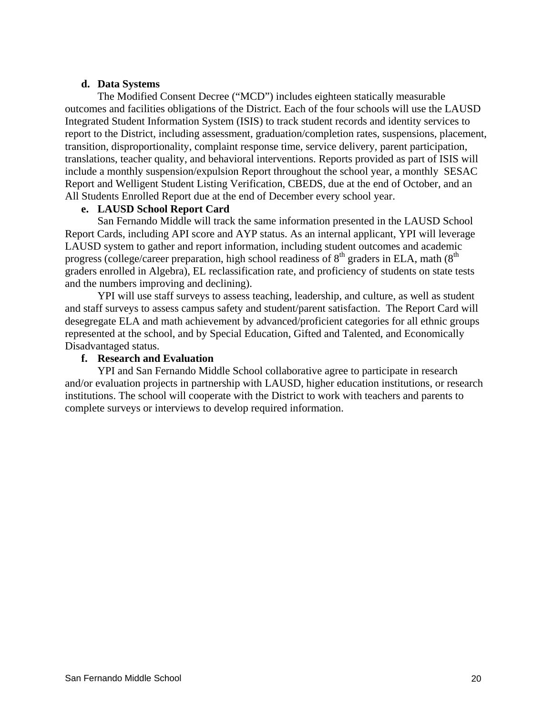## **d. Data Systems**

The Modified Consent Decree ("MCD") includes eighteen statically measurable outcomes and facilities obligations of the District. Each of the four schools will use the LAUSD Integrated Student Information System (ISIS) to track student records and identity services to report to the District, including assessment, graduation/completion rates, suspensions, placement, transition, disproportionality, complaint response time, service delivery, parent participation, translations, teacher quality, and behavioral interventions. Reports provided as part of ISIS will include a monthly suspension/expulsion Report throughout the school year, a monthly SESAC Report and Welligent Student Listing Verification, CBEDS, due at the end of October, and an All Students Enrolled Report due at the end of December every school year.

## **e. LAUSD School Report Card**

San Fernando Middle will track the same information presented in the LAUSD School Report Cards, including API score and AYP status. As an internal applicant, YPI will leverage LAUSD system to gather and report information, including student outcomes and academic progress (college/career preparation, high school readiness of  $8<sup>th</sup>$  graders in ELA, math ( $8<sup>th</sup>$ graders enrolled in Algebra), EL reclassification rate, and proficiency of students on state tests and the numbers improving and declining).

YPI will use staff surveys to assess teaching, leadership, and culture, as well as student and staff surveys to assess campus safety and student/parent satisfaction. The Report Card will desegregate ELA and math achievement by advanced/proficient categories for all ethnic groups represented at the school, and by Special Education, Gifted and Talented, and Economically Disadvantaged status.

## **f. Research and Evaluation**

YPI and San Fernando Middle School collaborative agree to participate in research and/or evaluation projects in partnership with LAUSD, higher education institutions, or research institutions. The school will cooperate with the District to work with teachers and parents to complete surveys or interviews to develop required information.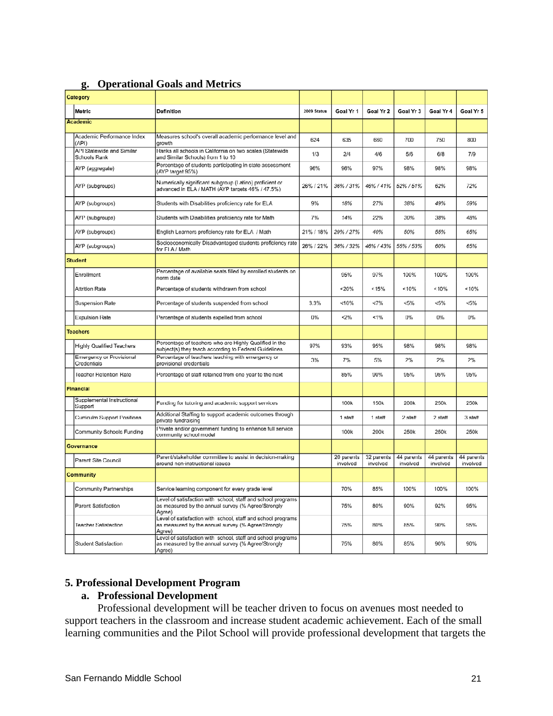| <u>s۰</u><br>Operational Obais and Metrics |                                           |                                                                                                                              |             |                        |                        |                        |                        |                        |
|--------------------------------------------|-------------------------------------------|------------------------------------------------------------------------------------------------------------------------------|-------------|------------------------|------------------------|------------------------|------------------------|------------------------|
|                                            | Category                                  |                                                                                                                              |             |                        |                        |                        |                        |                        |
|                                            | Metric                                    | Definition                                                                                                                   | 2009 Status | Goal Yr 1              | Goal Yr 2              | Goal Yr 3              | Goal Yr 4              | Goal Yr 5              |
| <b>Academic</b>                            |                                           |                                                                                                                              |             |                        |                        |                        |                        |                        |
|                                            | Academic Performance Index<br>(API)       | Measures school's overall academic performance level and<br>growth                                                           | 624         | 635                    | 660                    | 700                    | 750                    | 800                    |
|                                            | API Statewide and Similar<br>Schools Rank | Ranks all schools in California on two scales (Statewide<br>and Similar Schools) from 1 to 10                                | 1/3         | 2/4                    | 4/6                    | 5/6                    | 6/8                    | 7/9                    |
|                                            | AYP (aggregate)                           | Percentage of students participating in state assessment<br>(AYP target 95%)                                                 | 96%         | 96%                    | 97%                    | 98%                    | 98%                    | 98%                    |
|                                            | AYP (subgroups)                           | Numerically significant subgroup (Latino) proficient or<br>advanced in ELA / MATH (AYP targets 46% / 47.5%)                  | 26% / 21%   | 36%/31%                | 46%/41%                | 52%/51%                | 62%                    | 72%                    |
|                                            | AYP (subgroups)                           | Students with Disabilities proficiency rate for ELA                                                                          | 9%          | 18%                    | 27%                    | 38%                    | 49%                    | 59%                    |
|                                            | AYP (subgroups)                           | Students with Disabilities proficiency rate for Math                                                                         | 7%          | 14%                    | 22%                    | 30%                    | 38%                    | 48%                    |
|                                            | AYP (subgroups)                           | English Learners proficiency rate for ELA / Math                                                                             | 21% / 18%   | 29% / 27%              | 40%                    | 50%                    | 55%                    | 65%                    |
|                                            | AYP (subgroups)                           | Socioeconomically Disadvantaged students proficiency rate<br>for ELA / Math                                                  | 26% / 22%   | 36% / 32%              | 46% / 43%              | 55% / 53%              | 60%                    | 65%                    |
|                                            | <b>Student</b>                            |                                                                                                                              |             |                        |                        |                        |                        |                        |
|                                            | Enrollment                                | Percentage of available seats filled by enrolled students on<br>norm date                                                    |             | 95%                    | 97%                    | 100%                   | 100%                   | 100%                   |
|                                            | <b>Attrition Rate</b>                     | Percentage of students withdrawn from school                                                                                 |             | < 20%                  | < 15%                  | < 10%                  | < 10%                  | < 10%                  |
|                                            | <b>Suspension Rate</b>                    | Percentage of students suspended from school                                                                                 | 3.3%        | < 10%                  | <7%                    | < 5%                   | $< 5\%$                | $< 5\%$                |
|                                            | <b>Expulsion Rate</b>                     | Percentage of students expelled from school                                                                                  | 0%          | <2%                    | $< 1\%$                | 0%                     | 0%                     | 0%                     |
| <b>Teachers</b>                            |                                           |                                                                                                                              |             |                        |                        |                        |                        |                        |
|                                            | <b>Highly Qualified Teachers</b>          | Percentage of teachers who are Highly Qualified in the<br>subject(s) they teach according to Federal Guidelines              | 97%         | 93%                    | 95%                    | 98%                    | 98%                    | 98%                    |
|                                            | Emergency or Provisional<br>Credentials   | Percentage of teachers teaching with emergency or<br>provisional credentials                                                 | 3%          | 7%                     | 5%                     | 2%                     | 2%                     | 2%                     |
|                                            | <b>Teacher Retention Rate</b>             | Percentage of staff retained from one year to the next                                                                       |             | 85%                    | 90%                    | 95%                    | 95%                    | 95%                    |
| <b>Financial</b>                           |                                           |                                                                                                                              |             |                        |                        |                        |                        |                        |
|                                            | Supplemental Instructional<br>Support     | Funding for tutoring and academic support services                                                                           |             | 100k                   | 150k                   | 200k                   | 250k                   | 250k                   |
|                                            | <b>Curriculm Support Positions</b>        | Additional Staffing to support academic outcomes through<br>private fundraising                                              |             | 1 staff                | 1 staff                | 2 staff                | 2 staff                | 3 staff                |
|                                            | Community Schools Funding                 | Private and/or government funding to enhance full service<br>community school model                                          |             | 100k                   | 200k                   | 250k                   | 250k                   | 250k                   |
| Governance                                 |                                           |                                                                                                                              |             |                        |                        |                        |                        |                        |
|                                            | Parent Site Council                       | Parent/stakeholder committee to assist in decision-making<br>around non-instructional issues                                 |             | 20 parents<br>involved | 32 parents<br>involved | 44 parents<br>involved | 44 parents<br>involved | 44 parents<br>involved |
| Community                                  |                                           |                                                                                                                              |             |                        |                        |                        |                        |                        |
|                                            | Community Partnerships                    | Service learning component for every grade level                                                                             |             | 70%                    | 85%                    | 100%                   | 100%                   | 100%                   |
|                                            | Parent Satisfaction                       | Level of satisfaction with school, staff and school programs<br>as measured by the annual survey (% Agree/Strongly<br>Agree) |             | 75%                    | 80%                    | 90%                    | 92%                    | 95%                    |
|                                            | <b>Teacher Satisfaction</b>               | Level of satisfaction with school, staff and school programs<br>as measured by the annual survey (% Agree/Strongly<br>Agree) |             | 75%                    | 80%                    | 85%                    | 90%                    | 95%                    |
|                                            | Student Satisfaction                      | Level of satisfaction with school, staff and school programs<br>as measured by the annual survey (% Agree/Strongly<br>Agree) |             | 75%                    | 80%                    | 85%                    | 90%                    | 90%                    |

# **g. Operational Goals and Metrics**

## **5. Professional Development Program**

# **a. Professional Development**

Professional development will be teacher driven to focus on avenues most needed to support teachers in the classroom and increase student academic achievement. Each of the small learning communities and the Pilot School will provide professional development that targets the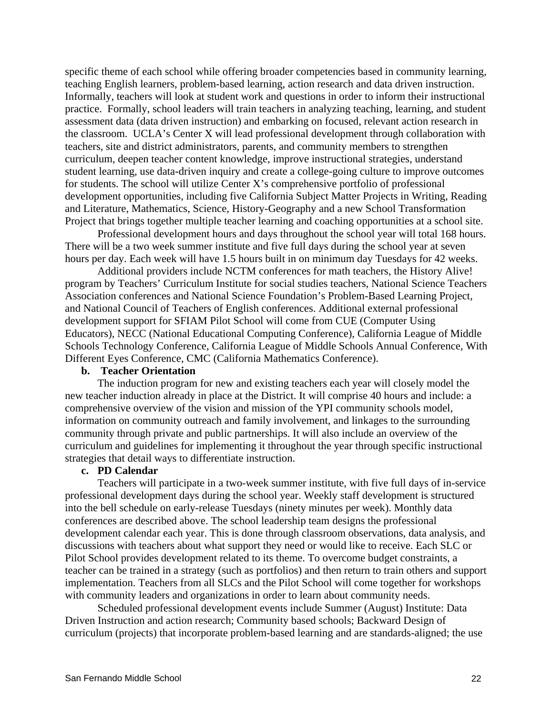specific theme of each school while offering broader competencies based in community learning, teaching English learners, problem-based learning, action research and data driven instruction. Informally, teachers will look at student work and questions in order to inform their instructional practice. Formally, school leaders will train teachers in analyzing teaching, learning, and student assessment data (data driven instruction) and embarking on focused, relevant action research in the classroom. UCLA's Center X will lead professional development through collaboration with teachers, site and district administrators, parents, and community members to strengthen curriculum, deepen teacher content knowledge, improve instructional strategies, understand student learning, use data-driven inquiry and create a college-going culture to improve outcomes for students. The school will utilize Center X's comprehensive portfolio of professional development opportunities, including five California Subject Matter Projects in Writing, Reading and Literature, Mathematics, Science, History-Geography and a new School Transformation Project that brings together multiple teacher learning and coaching opportunities at a school site.

Professional development hours and days throughout the school year will total 168 hours. There will be a two week summer institute and five full days during the school year at seven hours per day. Each week will have 1.5 hours built in on minimum day Tuesdays for 42 weeks.

Additional providers include NCTM conferences for math teachers, the History Alive! program by Teachers' Curriculum Institute for social studies teachers, National Science Teachers Association conferences and National Science Foundation's Problem-Based Learning Project, and National Council of Teachers of English conferences. Additional external professional development support for SFIAM Pilot School will come from CUE (Computer Using Educators), NECC (National Educational Computing Conference), California League of Middle Schools Technology Conference, California League of Middle Schools Annual Conference, With Different Eyes Conference, CMC (California Mathematics Conference).

### **b. Teacher Orientation**

The induction program for new and existing teachers each year will closely model the new teacher induction already in place at the District. It will comprise 40 hours and include: a comprehensive overview of the vision and mission of the YPI community schools model, information on community outreach and family involvement, and linkages to the surrounding community through private and public partnerships. It will also include an overview of the curriculum and guidelines for implementing it throughout the year through specific instructional strategies that detail ways to differentiate instruction.

#### **c. PD Calendar**

Teachers will participate in a two-week summer institute, with five full days of in-service professional development days during the school year. Weekly staff development is structured into the bell schedule on early-release Tuesdays (ninety minutes per week). Monthly data conferences are described above. The school leadership team designs the professional development calendar each year. This is done through classroom observations, data analysis, and discussions with teachers about what support they need or would like to receive. Each SLC or Pilot School provides development related to its theme. To overcome budget constraints, a teacher can be trained in a strategy (such as portfolios) and then return to train others and support implementation. Teachers from all SLCs and the Pilot School will come together for workshops with community leaders and organizations in order to learn about community needs.

Scheduled professional development events include Summer (August) Institute: Data Driven Instruction and action research; Community based schools; Backward Design of curriculum (projects) that incorporate problem-based learning and are standards-aligned; the use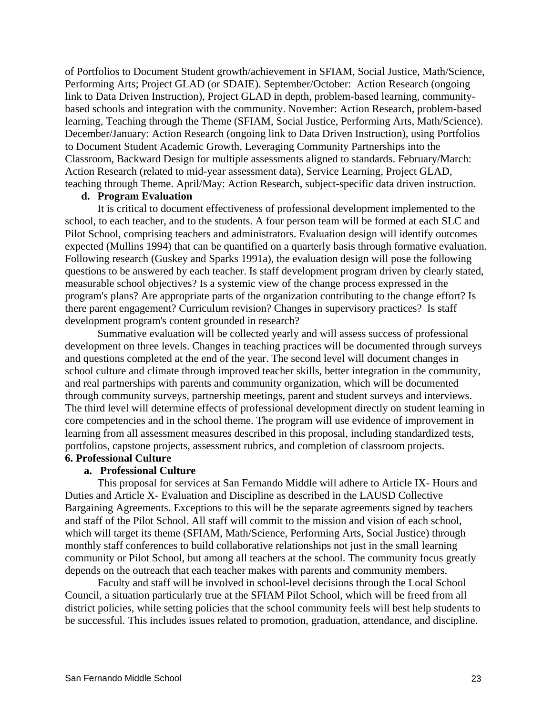of Portfolios to Document Student growth/achievement in SFIAM, Social Justice, Math/Science, Performing Arts; Project GLAD (or SDAIE). September/October: Action Research (ongoing link to Data Driven Instruction), Project GLAD in depth, problem-based learning, communitybased schools and integration with the community. November: Action Research, problem-based learning, Teaching through the Theme (SFIAM, Social Justice, Performing Arts, Math/Science). December/January: Action Research (ongoing link to Data Driven Instruction), using Portfolios to Document Student Academic Growth, Leveraging Community Partnerships into the Classroom, Backward Design for multiple assessments aligned to standards. February/March: Action Research (related to mid-year assessment data), Service Learning, Project GLAD, teaching through Theme. April/May: Action Research, subject-specific data driven instruction.

## **d. Program Evaluation**

It is critical to document effectiveness of professional development implemented to the school, to each teacher, and to the students. A four person team will be formed at each SLC and Pilot School, comprising teachers and administrators. Evaluation design will identify outcomes expected (Mullins 1994) that can be quantified on a quarterly basis through formative evaluation. Following research (Guskey and Sparks 1991a), the evaluation design will pose the following questions to be answered by each teacher. Is staff development program driven by clearly stated, measurable school objectives? Is a systemic view of the change process expressed in the program's plans? Are appropriate parts of the organization contributing to the change effort? Is there parent engagement? Curriculum revision? Changes in supervisory practices? Is staff development program's content grounded in research?

Summative evaluation will be collected yearly and will assess success of professional development on three levels. Changes in teaching practices will be documented through surveys and questions completed at the end of the year. The second level will document changes in school culture and climate through improved teacher skills, better integration in the community, and real partnerships with parents and community organization, which will be documented through community surveys, partnership meetings, parent and student surveys and interviews. The third level will determine effects of professional development directly on student learning in core competencies and in the school theme. The program will use evidence of improvement in learning from all assessment measures described in this proposal, including standardized tests, portfolios, capstone projects, assessment rubrics, and completion of classroom projects.

# **6. Professional Culture**

### **a. Professional Culture**

This proposal for services at San Fernando Middle will adhere to Article IX- Hours and Duties and Article X- Evaluation and Discipline as described in the LAUSD Collective Bargaining Agreements. Exceptions to this will be the separate agreements signed by teachers and staff of the Pilot School. All staff will commit to the mission and vision of each school, which will target its theme (SFIAM, Math/Science, Performing Arts, Social Justice) through monthly staff conferences to build collaborative relationships not just in the small learning community or Pilot School, but among all teachers at the school. The community focus greatly depends on the outreach that each teacher makes with parents and community members.

 Faculty and staff will be involved in school-level decisions through the Local School Council, a situation particularly true at the SFIAM Pilot School, which will be freed from all district policies, while setting policies that the school community feels will best help students to be successful. This includes issues related to promotion, graduation, attendance, and discipline.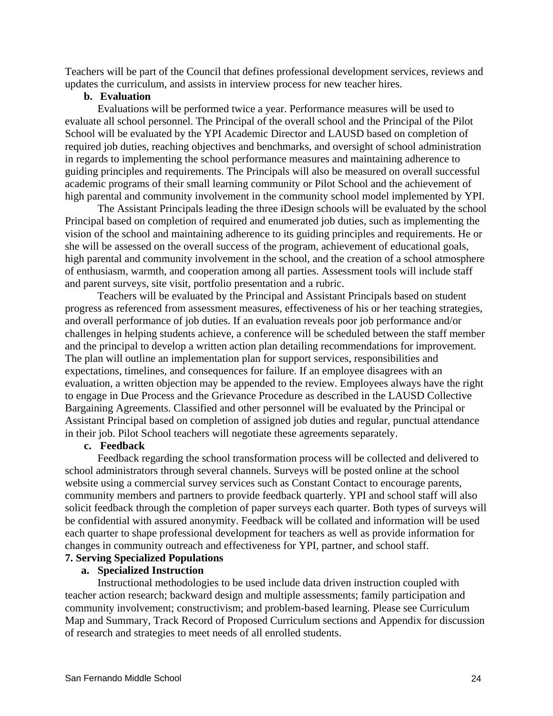Teachers will be part of the Council that defines professional development services, reviews and updates the curriculum, and assists in interview process for new teacher hires.

### **b. Evaluation**

Evaluations will be performed twice a year. Performance measures will be used to evaluate all school personnel. The Principal of the overall school and the Principal of the Pilot School will be evaluated by the YPI Academic Director and LAUSD based on completion of required job duties, reaching objectives and benchmarks, and oversight of school administration in regards to implementing the school performance measures and maintaining adherence to guiding principles and requirements. The Principals will also be measured on overall successful academic programs of their small learning community or Pilot School and the achievement of high parental and community involvement in the community school model implemented by YPI.

The Assistant Principals leading the three iDesign schools will be evaluated by the school Principal based on completion of required and enumerated job duties, such as implementing the vision of the school and maintaining adherence to its guiding principles and requirements. He or she will be assessed on the overall success of the program, achievement of educational goals, high parental and community involvement in the school, and the creation of a school atmosphere of enthusiasm, warmth, and cooperation among all parties. Assessment tools will include staff and parent surveys, site visit, portfolio presentation and a rubric.

Teachers will be evaluated by the Principal and Assistant Principals based on student progress as referenced from assessment measures, effectiveness of his or her teaching strategies, and overall performance of job duties. If an evaluation reveals poor job performance and/or challenges in helping students achieve, a conference will be scheduled between the staff member and the principal to develop a written action plan detailing recommendations for improvement. The plan will outline an implementation plan for support services, responsibilities and expectations, timelines, and consequences for failure. If an employee disagrees with an evaluation, a written objection may be appended to the review. Employees always have the right to engage in Due Process and the Grievance Procedure as described in the LAUSD Collective Bargaining Agreements. Classified and other personnel will be evaluated by the Principal or Assistant Principal based on completion of assigned job duties and regular, punctual attendance in their job. Pilot School teachers will negotiate these agreements separately.

## **c. Feedback**

Feedback regarding the school transformation process will be collected and delivered to school administrators through several channels. Surveys will be posted online at the school website using a commercial survey services such as Constant Contact to encourage parents, community members and partners to provide feedback quarterly. YPI and school staff will also solicit feedback through the completion of paper surveys each quarter. Both types of surveys will be confidential with assured anonymity. Feedback will be collated and information will be used each quarter to shape professional development for teachers as well as provide information for changes in community outreach and effectiveness for YPI, partner, and school staff.

# **7. Serving Specialized Populations**

### **a. Specialized Instruction**

Instructional methodologies to be used include data driven instruction coupled with teacher action research; backward design and multiple assessments; family participation and community involvement; constructivism; and problem-based learning. Please see Curriculum Map and Summary, Track Record of Proposed Curriculum sections and Appendix for discussion of research and strategies to meet needs of all enrolled students.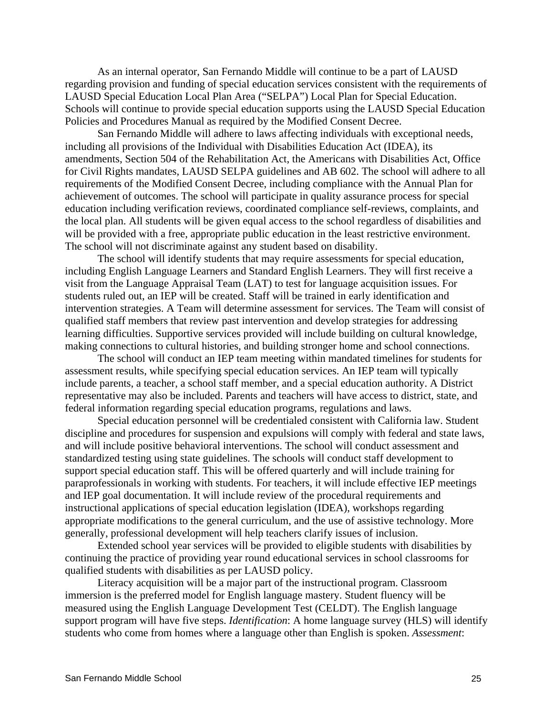As an internal operator, San Fernando Middle will continue to be a part of LAUSD regarding provision and funding of special education services consistent with the requirements of LAUSD Special Education Local Plan Area ("SELPA") Local Plan for Special Education. Schools will continue to provide special education supports using the LAUSD Special Education Policies and Procedures Manual as required by the Modified Consent Decree.

San Fernando Middle will adhere to laws affecting individuals with exceptional needs, including all provisions of the Individual with Disabilities Education Act (IDEA), its amendments, Section 504 of the Rehabilitation Act, the Americans with Disabilities Act, Office for Civil Rights mandates, LAUSD SELPA guidelines and AB 602. The school will adhere to all requirements of the Modified Consent Decree, including compliance with the Annual Plan for achievement of outcomes. The school will participate in quality assurance process for special education including verification reviews, coordinated compliance self-reviews, complaints, and the local plan. All students will be given equal access to the school regardless of disabilities and will be provided with a free, appropriate public education in the least restrictive environment. The school will not discriminate against any student based on disability.

The school will identify students that may require assessments for special education, including English Language Learners and Standard English Learners. They will first receive a visit from the Language Appraisal Team (LAT) to test for language acquisition issues. For students ruled out, an IEP will be created. Staff will be trained in early identification and intervention strategies. A Team will determine assessment for services. The Team will consist of qualified staff members that review past intervention and develop strategies for addressing learning difficulties. Supportive services provided will include building on cultural knowledge, making connections to cultural histories, and building stronger home and school connections.

The school will conduct an IEP team meeting within mandated timelines for students for assessment results, while specifying special education services. An IEP team will typically include parents, a teacher, a school staff member, and a special education authority. A District representative may also be included. Parents and teachers will have access to district, state, and federal information regarding special education programs, regulations and laws.

Special education personnel will be credentialed consistent with California law. Student discipline and procedures for suspension and expulsions will comply with federal and state laws, and will include positive behavioral interventions. The school will conduct assessment and standardized testing using state guidelines. The schools will conduct staff development to support special education staff. This will be offered quarterly and will include training for paraprofessionals in working with students. For teachers, it will include effective IEP meetings and IEP goal documentation. It will include review of the procedural requirements and instructional applications of special education legislation (IDEA), workshops regarding appropriate modifications to the general curriculum, and the use of assistive technology. More generally, professional development will help teachers clarify issues of inclusion.

Extended school year services will be provided to eligible students with disabilities by continuing the practice of providing year round educational services in school classrooms for qualified students with disabilities as per LAUSD policy.

Literacy acquisition will be a major part of the instructional program. Classroom immersion is the preferred model for English language mastery. Student fluency will be measured using the English Language Development Test (CELDT). The English language support program will have five steps. *Identification*: A home language survey (HLS) will identify students who come from homes where a language other than English is spoken. *Assessment*: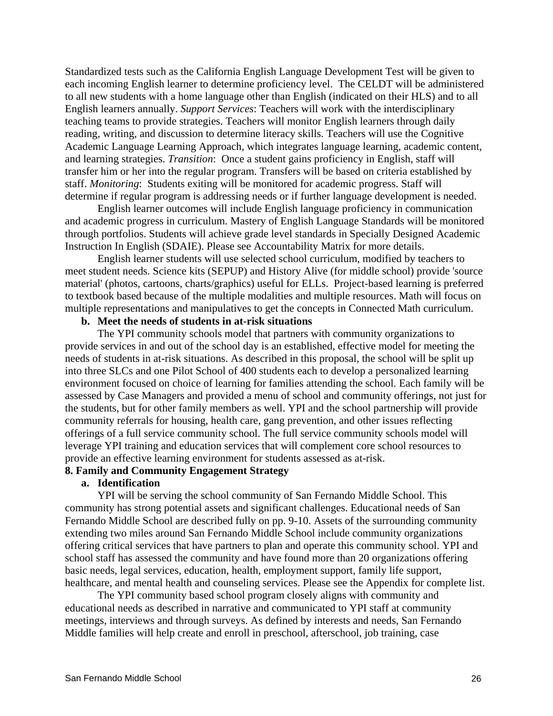Standardized tests such as the California English Language Development Test will be given to each incoming English learner to determine proficiency level. The CELDT will be administered to all new students with a home language other than English (indicated on their HLS) and to all English learners annually. *Support Services*: Teachers will work with the interdisciplinary teaching teams to provide strategies. Teachers will monitor English learners through daily reading, writing, and discussion to determine literacy skills. Teachers will use the Cognitive Academic Language Learning Approach, which integrates language learning, academic content, and learning strategies. *Transition*: Once a student gains proficiency in English, staff will transfer him or her into the regular program. Transfers will be based on criteria established by staff. *Monitoring*: Students exiting will be monitored for academic progress. Staff will determine if regular program is addressing needs or if further language development is needed.

English learner outcomes will include English language proficiency in communication and academic progress in curriculum. Mastery of English Language Standards will be monitored through portfolios. Students will achieve grade level standards in Specially Designed Academic Instruction In English (SDAIE). Please see Accountability Matrix for more details.

English learner students will use selected school curriculum, modified by teachers to meet student needs. Science kits (SEPUP) and History Alive (for middle school) provide 'source material' (photos, cartoons, charts/graphics) useful for ELLs. Project-based learning is preferred to textbook based because of the multiple modalities and multiple resources. Math will focus on multiple representations and manipulatives to get the concepts in Connected Math curriculum.

## **b. Meet the needs of students in at-risk situations**

The YPI community schools model that partners with community organizations to provide services in and out of the school day is an established, effective model for meeting the needs of students in at-risk situations. As described in this proposal, the school will be split up into three SLCs and one Pilot School of 400 students each to develop a personalized learning environment focused on choice of learning for families attending the school. Each family will be assessed by Case Managers and provided a menu of school and community offerings, not just for the students, but for other family members as well. YPI and the school partnership will provide community referrals for housing, health care, gang prevention, and other issues reflecting offerings of a full service community school. The full service community schools model will leverage YPI training and education services that will complement core school resources to provide an effective learning environment for students assessed as at-risk.

## **8. Family and Community Engagement Strategy**

## **a. Identification**

YPI will be serving the school community of San Fernando Middle School. This community has strong potential assets and significant challenges. Educational needs of San Fernando Middle School are described fully on pp. 9-10. Assets of the surrounding community extending two miles around San Fernando Middle School include community organizations offering critical services that have partners to plan and operate this community school. YPI and school staff has assessed the community and have found more than 20 organizations offering basic needs, legal services, education, health, employment support, family life support, healthcare, and mental health and counseling services. Please see the Appendix for complete list.

The YPI community based school program closely aligns with community and educational needs as described in narrative and communicated to YPI staff at community meetings, interviews and through surveys. As defined by interests and needs, San Fernando Middle families will help create and enroll in preschool, afterschool, job training, case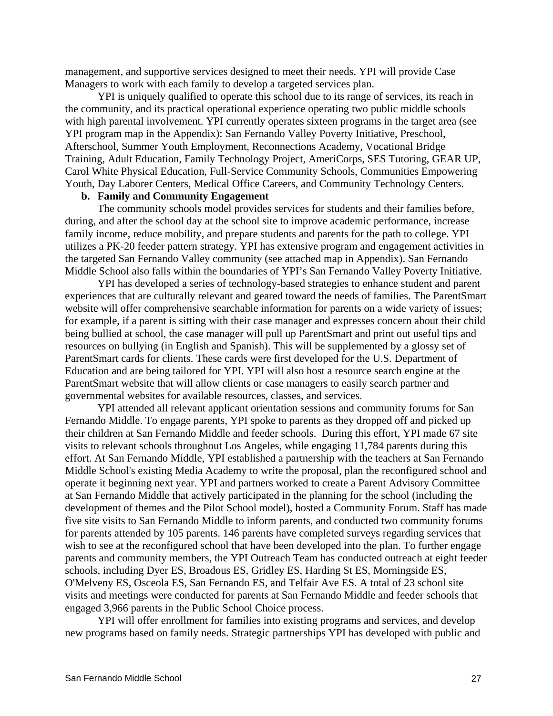management, and supportive services designed to meet their needs. YPI will provide Case Managers to work with each family to develop a targeted services plan.

YPI is uniquely qualified to operate this school due to its range of services, its reach in the community, and its practical operational experience operating two public middle schools with high parental involvement. YPI currently operates sixteen programs in the target area (see YPI program map in the Appendix): San Fernando Valley Poverty Initiative, Preschool, Afterschool, Summer Youth Employment, Reconnections Academy, Vocational Bridge Training, Adult Education, Family Technology Project, AmeriCorps, SES Tutoring, GEAR UP, Carol White Physical Education, Full-Service Community Schools, Communities Empowering Youth, Day Laborer Centers, Medical Office Careers, and Community Technology Centers.

## **b. Family and Community Engagement**

The community schools model provides services for students and their families before, during, and after the school day at the school site to improve academic performance, increase family income, reduce mobility, and prepare students and parents for the path to college. YPI utilizes a PK-20 feeder pattern strategy. YPI has extensive program and engagement activities in the targeted San Fernando Valley community (see attached map in Appendix). San Fernando Middle School also falls within the boundaries of YPI's San Fernando Valley Poverty Initiative.

YPI has developed a series of technology-based strategies to enhance student and parent experiences that are culturally relevant and geared toward the needs of families. The ParentSmart website will offer comprehensive searchable information for parents on a wide variety of issues; for example, if a parent is sitting with their case manager and expresses concern about their child being bullied at school, the case manager will pull up ParentSmart and print out useful tips and resources on bullying (in English and Spanish). This will be supplemented by a glossy set of ParentSmart cards for clients. These cards were first developed for the U.S. Department of Education and are being tailored for YPI. YPI will also host a resource search engine at the ParentSmart website that will allow clients or case managers to easily search partner and governmental websites for available resources, classes, and services.

YPI attended all relevant applicant orientation sessions and community forums for San Fernando Middle. To engage parents, YPI spoke to parents as they dropped off and picked up their children at San Fernando Middle and feeder schools. During this effort, YPI made 67 site visits to relevant schools throughout Los Angeles, while engaging 11,784 parents during this effort. At San Fernando Middle, YPI established a partnership with the teachers at San Fernando Middle School's existing Media Academy to write the proposal, plan the reconfigured school and operate it beginning next year. YPI and partners worked to create a Parent Advisory Committee at San Fernando Middle that actively participated in the planning for the school (including the development of themes and the Pilot School model), hosted a Community Forum. Staff has made five site visits to San Fernando Middle to inform parents, and conducted two community forums for parents attended by 105 parents. 146 parents have completed surveys regarding services that wish to see at the reconfigured school that have been developed into the plan. To further engage parents and community members, the YPI Outreach Team has conducted outreach at eight feeder schools, including Dyer ES, Broadous ES, Gridley ES, Harding St ES, Morningside ES, O'Melveny ES, Osceola ES, San Fernando ES, and Telfair Ave ES. A total of 23 school site visits and meetings were conducted for parents at San Fernando Middle and feeder schools that engaged 3,966 parents in the Public School Choice process.

YPI will offer enrollment for families into existing programs and services, and develop new programs based on family needs. Strategic partnerships YPI has developed with public and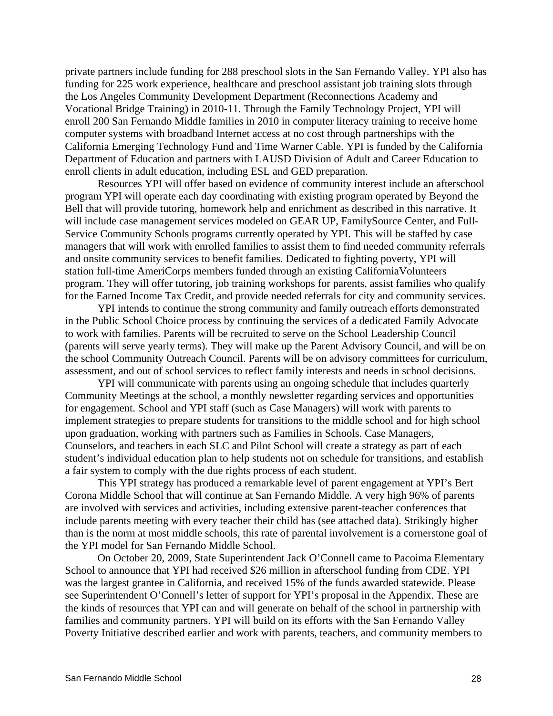private partners include funding for 288 preschool slots in the San Fernando Valley. YPI also has funding for 225 work experience, healthcare and preschool assistant job training slots through the Los Angeles Community Development Department (Reconnections Academy and Vocational Bridge Training) in 2010-11. Through the Family Technology Project, YPI will enroll 200 San Fernando Middle families in 2010 in computer literacy training to receive home computer systems with broadband Internet access at no cost through partnerships with the California Emerging Technology Fund and Time Warner Cable. YPI is funded by the California Department of Education and partners with LAUSD Division of Adult and Career Education to enroll clients in adult education, including ESL and GED preparation.

Resources YPI will offer based on evidence of community interest include an afterschool program YPI will operate each day coordinating with existing program operated by Beyond the Bell that will provide tutoring, homework help and enrichment as described in this narrative. It will include case management services modeled on GEAR UP, FamilySource Center, and Full-Service Community Schools programs currently operated by YPI. This will be staffed by case managers that will work with enrolled families to assist them to find needed community referrals and onsite community services to benefit families. Dedicated to fighting poverty, YPI will station full-time AmeriCorps members funded through an existing CaliforniaVolunteers program. They will offer tutoring, job training workshops for parents, assist families who qualify for the Earned Income Tax Credit, and provide needed referrals for city and community services.

YPI intends to continue the strong community and family outreach efforts demonstrated in the Public School Choice process by continuing the services of a dedicated Family Advocate to work with families. Parents will be recruited to serve on the School Leadership Council (parents will serve yearly terms). They will make up the Parent Advisory Council, and will be on the school Community Outreach Council. Parents will be on advisory committees for curriculum, assessment, and out of school services to reflect family interests and needs in school decisions.

YPI will communicate with parents using an ongoing schedule that includes quarterly Community Meetings at the school, a monthly newsletter regarding services and opportunities for engagement. School and YPI staff (such as Case Managers) will work with parents to implement strategies to prepare students for transitions to the middle school and for high school upon graduation, working with partners such as Families in Schools. Case Managers, Counselors, and teachers in each SLC and Pilot School will create a strategy as part of each student's individual education plan to help students not on schedule for transitions, and establish a fair system to comply with the due rights process of each student.

This YPI strategy has produced a remarkable level of parent engagement at YPI's Bert Corona Middle School that will continue at San Fernando Middle. A very high 96% of parents are involved with services and activities, including extensive parent-teacher conferences that include parents meeting with every teacher their child has (see attached data). Strikingly higher than is the norm at most middle schools, this rate of parental involvement is a cornerstone goal of the YPI model for San Fernando Middle School.

On October 20, 2009, State Superintendent Jack O'Connell came to Pacoima Elementary School to announce that YPI had received \$26 million in afterschool funding from CDE. YPI was the largest grantee in California, and received 15% of the funds awarded statewide. Please see Superintendent O'Connell's letter of support for YPI's proposal in the Appendix. These are the kinds of resources that YPI can and will generate on behalf of the school in partnership with families and community partners. YPI will build on its efforts with the San Fernando Valley Poverty Initiative described earlier and work with parents, teachers, and community members to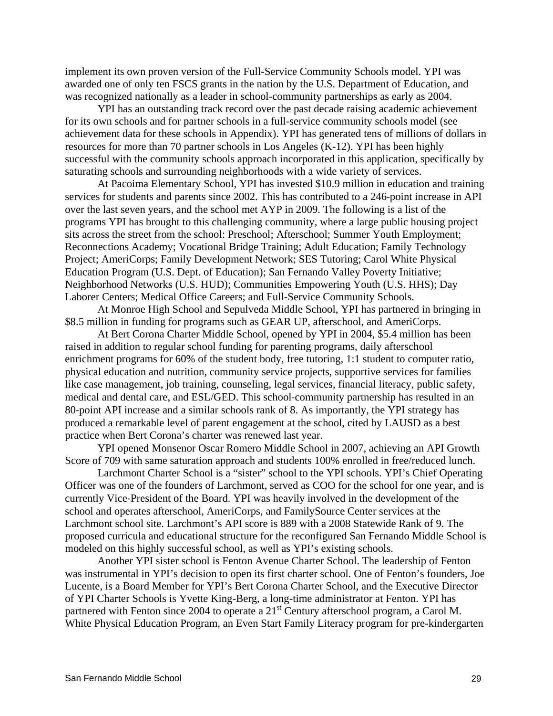implement its own proven version of the Full-Service Community Schools model. YPI was awarded one of only ten FSCS grants in the nation by the U.S. Department of Education, and was recognized nationally as a leader in school-community partnerships as early as 2004.

YPI has an outstanding track record over the past decade raising academic achievement for its own schools and for partner schools in a full-service community schools model (see achievement data for these schools in Appendix). YPI has generated tens of millions of dollars in resources for more than 70 partner schools in Los Angeles (K-12). YPI has been highly successful with the community schools approach incorporated in this application, specifically by saturating schools and surrounding neighborhoods with a wide variety of services.

At Pacoima Elementary School, YPI has invested \$10.9 million in education and training services for students and parents since 2002. This has contributed to a 246-point increase in API over the last seven years, and the school met AYP in 2009. The following is a list of the programs YPI has brought to this challenging community, where a large public housing project sits across the street from the school: Preschool; Afterschool; Summer Youth Employment; Reconnections Academy; Vocational Bridge Training; Adult Education; Family Technology Project; AmeriCorps; Family Development Network; SES Tutoring; Carol White Physical Education Program (U.S. Dept. of Education); San Fernando Valley Poverty Initiative; Neighborhood Networks (U.S. HUD); Communities Empowering Youth (U.S. HHS); Day Laborer Centers; Medical Office Careers; and Full-Service Community Schools.

At Monroe High School and Sepulveda Middle School, YPI has partnered in bringing in \$8.5 million in funding for programs such as GEAR UP, afterschool, and AmeriCorps.

At Bert Corona Charter Middle School, opened by YPI in 2004, \$5.4 million has been raised in addition to regular school funding for parenting programs, daily afterschool enrichment programs for 60% of the student body, free tutoring, 1:1 student to computer ratio, physical education and nutrition, community service projects, supportive services for families like case management, job training, counseling, legal services, financial literacy, public safety, medical and dental care, and ESL/GED. This school‐community partnership has resulted in an 80‐point API increase and a similar schools rank of 8. As importantly, the YPI strategy has produced a remarkable level of parent engagement at the school, cited by LAUSD as a best practice when Bert Corona's charter was renewed last year.

YPI opened Monsenor Oscar Romero Middle School in 2007, achieving an API Growth Score of 709 with same saturation approach and students 100% enrolled in free/reduced lunch.

Larchmont Charter School is a "sister" school to the YPI schools. YPI's Chief Operating Officer was one of the founders of Larchmont, served as COO for the school for one year, and is currently Vice‐President of the Board. YPI was heavily involved in the development of the school and operates afterschool, AmeriCorps, and FamilySource Center services at the Larchmont school site. Larchmont's API score is 889 with a 2008 Statewide Rank of 9. The proposed curricula and educational structure for the reconfigured San Fernando Middle School is modeled on this highly successful school, as well as YPI's existing schools.

Another YPI sister school is Fenton Avenue Charter School. The leadership of Fenton was instrumental in YPI's decision to open its first charter school. One of Fenton's founders, Joe Lucente, is a Board Member for YPI's Bert Corona Charter School, and the Executive Director of YPI Charter Schools is Yvette King-Berg, a long-time administrator at Fenton. YPI has partnered with Fenton since 2004 to operate a 21<sup>st</sup> Century afterschool program, a Carol M. White Physical Education Program, an Even Start Family Literacy program for pre-kindergarten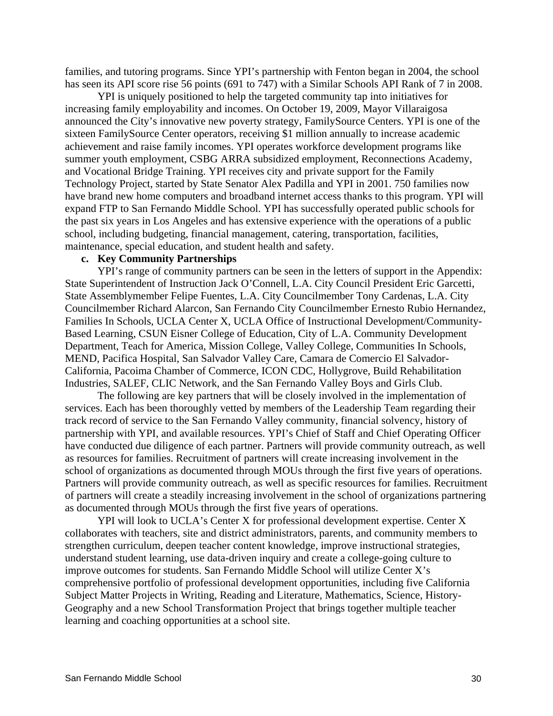families, and tutoring programs. Since YPI's partnership with Fenton began in 2004, the school has seen its API score rise 56 points (691 to 747) with a Similar Schools API Rank of 7 in 2008.

YPI is uniquely positioned to help the targeted community tap into initiatives for increasing family employability and incomes. On October 19, 2009, Mayor Villaraigosa announced the City's innovative new poverty strategy, FamilySource Centers. YPI is one of the sixteen FamilySource Center operators, receiving \$1 million annually to increase academic achievement and raise family incomes. YPI operates workforce development programs like summer youth employment, CSBG ARRA subsidized employment, Reconnections Academy, and Vocational Bridge Training. YPI receives city and private support for the Family Technology Project, started by State Senator Alex Padilla and YPI in 2001. 750 families now have brand new home computers and broadband internet access thanks to this program. YPI will expand FTP to San Fernando Middle School. YPI has successfully operated public schools for the past six years in Los Angeles and has extensive experience with the operations of a public school, including budgeting, financial management, catering, transportation, facilities, maintenance, special education, and student health and safety.

## **c. Key Community Partnerships**

YPI's range of community partners can be seen in the letters of support in the Appendix: State Superintendent of Instruction Jack O'Connell, L.A. City Council President Eric Garcetti, State Assemblymember Felipe Fuentes, L.A. City Councilmember Tony Cardenas, L.A. City Councilmember Richard Alarcon, San Fernando City Councilmember Ernesto Rubio Hernandez, Families In Schools, UCLA Center X, UCLA Office of Instructional Development/Community-Based Learning, CSUN Eisner College of Education, City of L.A. Community Development Department, Teach for America, Mission College, Valley College, Communities In Schools, MEND, Pacifica Hospital, San Salvador Valley Care, Camara de Comercio El Salvador-California, Pacoima Chamber of Commerce, ICON CDC, Hollygrove, Build Rehabilitation Industries, SALEF, CLIC Network, and the San Fernando Valley Boys and Girls Club.

The following are key partners that will be closely involved in the implementation of services. Each has been thoroughly vetted by members of the Leadership Team regarding their track record of service to the San Fernando Valley community, financial solvency, history of partnership with YPI, and available resources. YPI's Chief of Staff and Chief Operating Officer have conducted due diligence of each partner. Partners will provide community outreach, as well as resources for families. Recruitment of partners will create increasing involvement in the school of organizations as documented through MOUs through the first five years of operations. Partners will provide community outreach, as well as specific resources for families. Recruitment of partners will create a steadily increasing involvement in the school of organizations partnering as documented through MOUs through the first five years of operations.

YPI will look to UCLA's Center X for professional development expertise. Center X collaborates with teachers, site and district administrators, parents, and community members to strengthen curriculum, deepen teacher content knowledge, improve instructional strategies, understand student learning, use data-driven inquiry and create a college-going culture to improve outcomes for students. San Fernando Middle School will utilize Center X's comprehensive portfolio of professional development opportunities, including five California Subject Matter Projects in Writing, Reading and Literature, Mathematics, Science, History-Geography and a new School Transformation Project that brings together multiple teacher learning and coaching opportunities at a school site.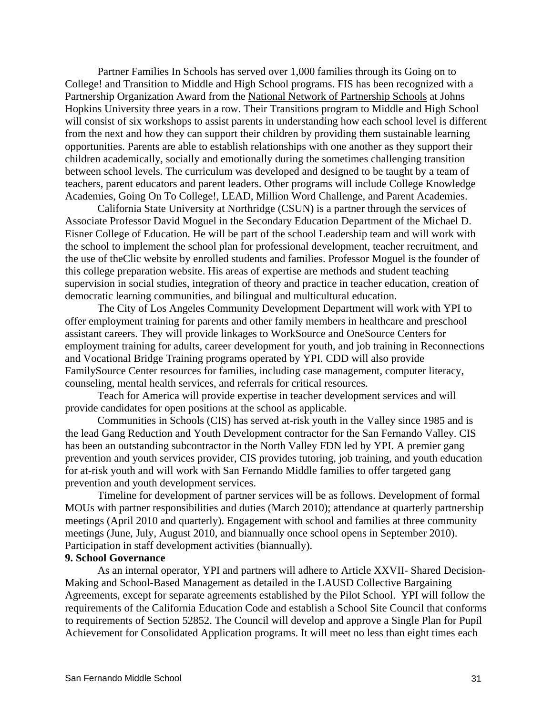Partner Families In Schools has served over 1,000 families through its Going on to College! and Transition to Middle and High School programs. FIS has been recognized with a Partnership Organization Award from the [National Network of Partnership Schools](http://www.csos.jhu.edu/p2000/default.htm) at Johns Hopkins University three years in a row. Their Transitions program to Middle and High School will consist of six workshops to assist parents in understanding how each school level is different from the next and how they can support their children by providing them sustainable learning opportunities. Parents are able to establish relationships with one another as they support their children academically, socially and emotionally during the sometimes challenging transition between school levels. The curriculum was developed and designed to be taught by a team of teachers, parent educators and parent leaders. Other programs will include College Knowledge Academies, Going On To College!, LEAD, Million Word Challenge, and Parent Academies.

California State University at Northridge (CSUN) is a partner through the services of Associate Professor David Moguel in the Secondary Education Department of the Michael D. Eisner College of Education. He will be part of the school Leadership team and will work with the school to implement the school plan for professional development, teacher recruitment, and the use of theClic website by enrolled students and families. Professor Moguel is the founder of this college preparation website. His areas of expertise are methods and student teaching supervision in social studies, integration of theory and practice in teacher education, creation of democratic learning communities, and bilingual and multicultural education.

The City of Los Angeles Community Development Department will work with YPI to offer employment training for parents and other family members in healthcare and preschool assistant careers. They will provide linkages to WorkSource and OneSource Centers for employment training for adults, career development for youth, and job training in Reconnections and Vocational Bridge Training programs operated by YPI. CDD will also provide FamilySource Center resources for families, including case management, computer literacy, counseling, mental health services, and referrals for critical resources.

Teach for America will provide expertise in teacher development services and will provide candidates for open positions at the school as applicable.

Communities in Schools (CIS) has served at-risk youth in the Valley since 1985 and is the lead Gang Reduction and Youth Development contractor for the San Fernando Valley. CIS has been an outstanding subcontractor in the North Valley FDN led by YPI. A premier gang prevention and youth services provider, CIS provides tutoring, job training, and youth education for at-risk youth and will work with San Fernando Middle families to offer targeted gang prevention and youth development services.

Timeline for development of partner services will be as follows. Development of formal MOUs with partner responsibilities and duties (March 2010); attendance at quarterly partnership meetings (April 2010 and quarterly). Engagement with school and families at three community meetings (June, July, August 2010, and biannually once school opens in September 2010). Participation in staff development activities (biannually).

### **9. School Governance**

As an internal operator, YPI and partners will adhere to Article XXVII- Shared Decision-Making and School-Based Management as detailed in the LAUSD Collective Bargaining Agreements, except for separate agreements established by the Pilot School. YPI will follow the requirements of the California Education Code and establish a School Site Council that conforms to requirements of Section 52852. The Council will develop and approve a Single Plan for Pupil Achievement for Consolidated Application programs. It will meet no less than eight times each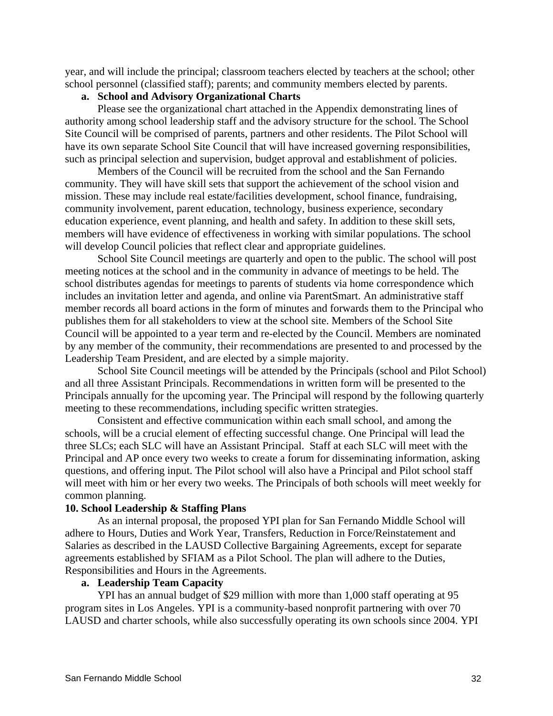year, and will include the principal; classroom teachers elected by teachers at the school; other school personnel (classified staff); parents; and community members elected by parents.

## **a. School and Advisory Organizational Charts**

Please see the organizational chart attached in the Appendix demonstrating lines of authority among school leadership staff and the advisory structure for the school. The School Site Council will be comprised of parents, partners and other residents. The Pilot School will have its own separate School Site Council that will have increased governing responsibilities, such as principal selection and supervision, budget approval and establishment of policies.

Members of the Council will be recruited from the school and the San Fernando community. They will have skill sets that support the achievement of the school vision and mission. These may include real estate/facilities development, school finance, fundraising, community involvement, parent education, technology, business experience, secondary education experience, event planning, and health and safety. In addition to these skill sets, members will have evidence of effectiveness in working with similar populations. The school will develop Council policies that reflect clear and appropriate guidelines.

 School Site Council meetings are quarterly and open to the public. The school will post meeting notices at the school and in the community in advance of meetings to be held. The school distributes agendas for meetings to parents of students via home correspondence which includes an invitation letter and agenda, and online via ParentSmart. An administrative staff member records all board actions in the form of minutes and forwards them to the Principal who publishes them for all stakeholders to view at the school site. Members of the School Site Council will be appointed to a year term and re-elected by the Council. Members are nominated by any member of the community, their recommendations are presented to and processed by the Leadership Team President, and are elected by a simple majority.

 School Site Council meetings will be attended by the Principals (school and Pilot School) and all three Assistant Principals. Recommendations in written form will be presented to the Principals annually for the upcoming year. The Principal will respond by the following quarterly meeting to these recommendations, including specific written strategies.

Consistent and effective communication within each small school, and among the schools, will be a crucial element of effecting successful change. One Principal will lead the three SLCs; each SLC will have an Assistant Principal. Staff at each SLC will meet with the Principal and AP once every two weeks to create a forum for disseminating information, asking questions, and offering input. The Pilot school will also have a Principal and Pilot school staff will meet with him or her every two weeks. The Principals of both schools will meet weekly for common planning.

## **10. School Leadership & Staffing Plans**

As an internal proposal, the proposed YPI plan for San Fernando Middle School will adhere to Hours, Duties and Work Year, Transfers, Reduction in Force/Reinstatement and Salaries as described in the LAUSD Collective Bargaining Agreements, except for separate agreements established by SFIAM as a Pilot School. The plan will adhere to the Duties, Responsibilities and Hours in the Agreements.

### **a. Leadership Team Capacity**

YPI has an annual budget of \$29 million with more than 1,000 staff operating at 95 program sites in Los Angeles. YPI is a community-based nonprofit partnering with over 70 LAUSD and charter schools, while also successfully operating its own schools since 2004. YPI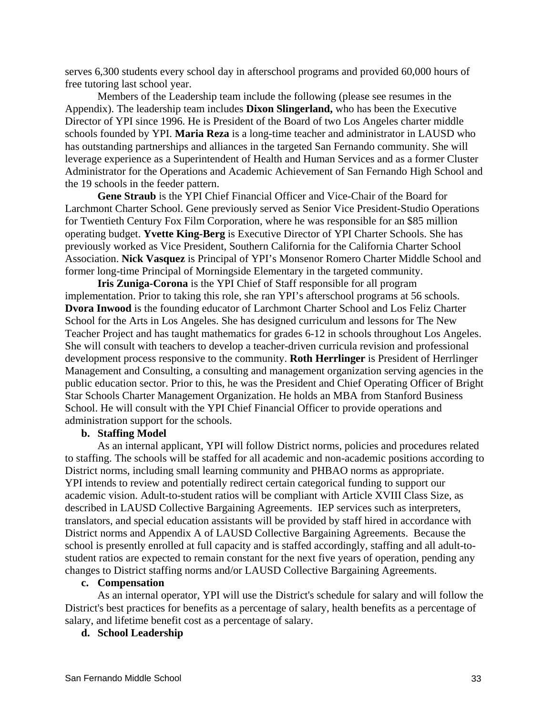serves 6,300 students every school day in afterschool programs and provided 60,000 hours of free tutoring last school year.

Members of the Leadership team include the following (please see resumes in the Appendix). The leadership team includes **Dixon Slingerland,** who has been the Executive Director of YPI since 1996. He is President of the Board of two Los Angeles charter middle schools founded by YPI. **Maria Reza** is a long-time teacher and administrator in LAUSD who has outstanding partnerships and alliances in the targeted San Fernando community. She will leverage experience as a Superintendent of Health and Human Services and as a former Cluster Administrator for the Operations and Academic Achievement of San Fernando High School and the 19 schools in the feeder pattern.

**Gene Straub** is the YPI Chief Financial Officer and Vice-Chair of the Board for Larchmont Charter School. Gene previously served as Senior Vice President-Studio Operations for Twentieth Century Fox Film Corporation, where he was responsible for an \$85 million operating budget. **Yvette King-Berg** is Executive Director of YPI Charter Schools. She has previously worked as Vice President, Southern California for the California Charter School Association. **Nick Vasquez** is Principal of YPI's Monsenor Romero Charter Middle School and former long-time Principal of Morningside Elementary in the targeted community.

**Iris Zuniga-Corona** is the YPI Chief of Staff responsible for all program implementation. Prior to taking this role, she ran YPI's afterschool programs at 56 schools. **Dvora Inwood** is the founding educator of Larchmont Charter School and Los Feliz Charter School for the Arts in Los Angeles. She has designed curriculum and lessons for The New Teacher Project and has taught mathematics for grades 6-12 in schools throughout Los Angeles. She will consult with teachers to develop a teacher-driven curricula revision and professional development process responsive to the community. **Roth Herrlinger** is President of Herrlinger Management and Consulting, a consulting and management organization serving agencies in the public education sector. Prior to this, he was the President and Chief Operating Officer of Bright Star Schools Charter Management Organization. He holds an MBA from Stanford Business School. He will consult with the YPI Chief Financial Officer to provide operations and administration support for the schools.

## **b. Staffing Model**

As an internal applicant, YPI will follow District norms, policies and procedures related to staffing. The schools will be staffed for all academic and non-academic positions according to District norms, including small learning community and PHBAO norms as appropriate. YPI intends to review and potentially redirect certain categorical funding to support our academic vision. Adult-to-student ratios will be compliant with Article XVIII Class Size, as described in LAUSD Collective Bargaining Agreements. IEP services such as interpreters, translators, and special education assistants will be provided by staff hired in accordance with District norms and Appendix A of LAUSD Collective Bargaining Agreements. Because the school is presently enrolled at full capacity and is staffed accordingly, staffing and all adult-tostudent ratios are expected to remain constant for the next five years of operation, pending any changes to District staffing norms and/or LAUSD Collective Bargaining Agreements.

## **c. Compensation**

As an internal operator, YPI will use the District's schedule for salary and will follow the District's best practices for benefits as a percentage of salary, health benefits as a percentage of salary, and lifetime benefit cost as a percentage of salary.

## **d. School Leadership**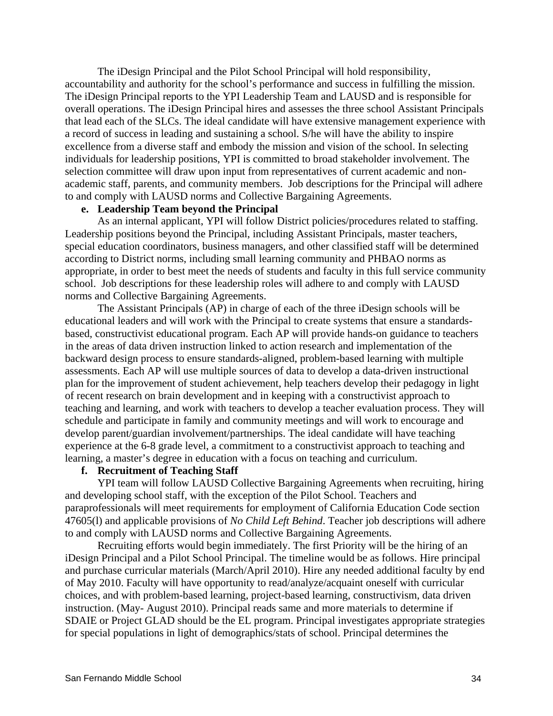The iDesign Principal and the Pilot School Principal will hold responsibility, accountability and authority for the school's performance and success in fulfilling the mission. The iDesign Principal reports to the YPI Leadership Team and LAUSD and is responsible for overall operations. The iDesign Principal hires and assesses the three school Assistant Principals that lead each of the SLCs. The ideal candidate will have extensive management experience with a record of success in leading and sustaining a school. S/he will have the ability to inspire excellence from a diverse staff and embody the mission and vision of the school. In selecting individuals for leadership positions, YPI is committed to broad stakeholder involvement. The selection committee will draw upon input from representatives of current academic and nonacademic staff, parents, and community members. Job descriptions for the Principal will adhere to and comply with LAUSD norms and Collective Bargaining Agreements.

## **e. Leadership Team beyond the Principal**

As an internal applicant, YPI will follow District policies/procedures related to staffing. Leadership positions beyond the Principal, including Assistant Principals, master teachers, special education coordinators, business managers, and other classified staff will be determined according to District norms, including small learning community and PHBAO norms as appropriate, in order to best meet the needs of students and faculty in this full service community school. Job descriptions for these leadership roles will adhere to and comply with LAUSD norms and Collective Bargaining Agreements.

The Assistant Principals (AP) in charge of each of the three iDesign schools will be educational leaders and will work with the Principal to create systems that ensure a standardsbased, constructivist educational program. Each AP will provide hands-on guidance to teachers in the areas of data driven instruction linked to action research and implementation of the backward design process to ensure standards-aligned, problem-based learning with multiple assessments. Each AP will use multiple sources of data to develop a data-driven instructional plan for the improvement of student achievement, help teachers develop their pedagogy in light of recent research on brain development and in keeping with a constructivist approach to teaching and learning, and work with teachers to develop a teacher evaluation process. They will schedule and participate in family and community meetings and will work to encourage and develop parent/guardian involvement/partnerships. The ideal candidate will have teaching experience at the 6-8 grade level, a commitment to a constructivist approach to teaching and learning, a master's degree in education with a focus on teaching and curriculum.

### **f. Recruitment of Teaching Staff**

YPI team will follow LAUSD Collective Bargaining Agreements when recruiting, hiring and developing school staff, with the exception of the Pilot School. Teachers and paraprofessionals will meet requirements for employment of California Education Code section 47605(l) and applicable provisions of *No Child Left Behind*. Teacher job descriptions will adhere to and comply with LAUSD norms and Collective Bargaining Agreements.

Recruiting efforts would begin immediately. The first Priority will be the hiring of an iDesign Principal and a Pilot School Principal. The timeline would be as follows. Hire principal and purchase curricular materials (March/April 2010). Hire any needed additional faculty by end of May 2010. Faculty will have opportunity to read/analyze/acquaint oneself with curricular choices, and with problem-based learning, project-based learning, constructivism, data driven instruction. (May- August 2010). Principal reads same and more materials to determine if SDAIE or Project GLAD should be the EL program. Principal investigates appropriate strategies for special populations in light of demographics/stats of school. Principal determines the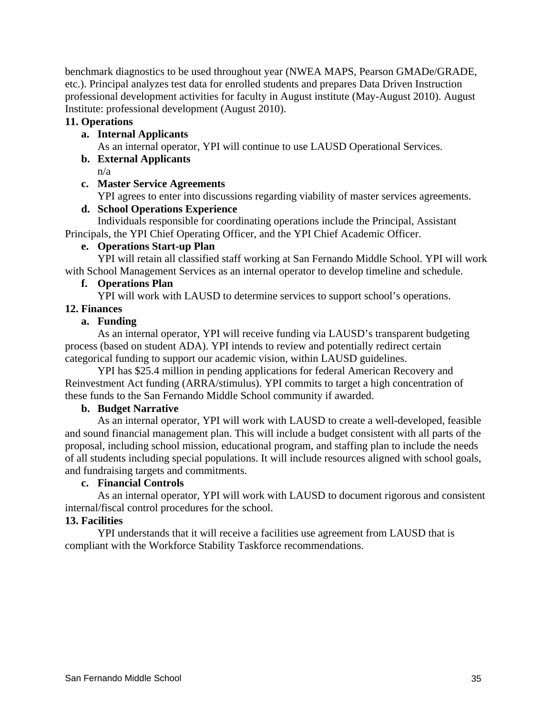benchmark diagnostics to be used throughout year (NWEA MAPS, Pearson GMADe/GRADE, etc.). Principal analyzes test data for enrolled students and prepares Data Driven Instruction professional development activities for faculty in August institute (May-August 2010). August Institute: professional development (August 2010).

# **11. Operations**

# **a. Internal Applicants**

As an internal operator, YPI will continue to use LAUSD Operational Services.

# **b. External Applicants**

n/a

## **c. Master Service Agreements**

YPI agrees to enter into discussions regarding viability of master services agreements.

## **d. School Operations Experience**

Individuals responsible for coordinating operations include the Principal, Assistant Principals, the YPI Chief Operating Officer, and the YPI Chief Academic Officer.

## **e. Operations Start-up Plan**

YPI will retain all classified staff working at San Fernando Middle School. YPI will work with School Management Services as an internal operator to develop timeline and schedule.

## **f. Operations Plan**

YPI will work with LAUSD to determine services to support school's operations.

## **12. Finances**

## **a. Funding**

As an internal operator, YPI will receive funding via LAUSD's transparent budgeting process (based on student ADA). YPI intends to review and potentially redirect certain categorical funding to support our academic vision, within LAUSD guidelines.

YPI has \$25.4 million in pending applications for federal American Recovery and Reinvestment Act funding (ARRA/stimulus). YPI commits to target a high concentration of these funds to the San Fernando Middle School community if awarded.

## **b. Budget Narrative**

As an internal operator, YPI will work with LAUSD to create a well-developed, feasible and sound financial management plan. This will include a budget consistent with all parts of the proposal, including school mission, educational program, and staffing plan to include the needs of all students including special populations. It will include resources aligned with school goals, and fundraising targets and commitments.

## **c. Financial Controls**

As an internal operator, YPI will work with LAUSD to document rigorous and consistent internal/fiscal control procedures for the school.

## **13. Facilities**

YPI understands that it will receive a facilities use agreement from LAUSD that is compliant with the Workforce Stability Taskforce recommendations.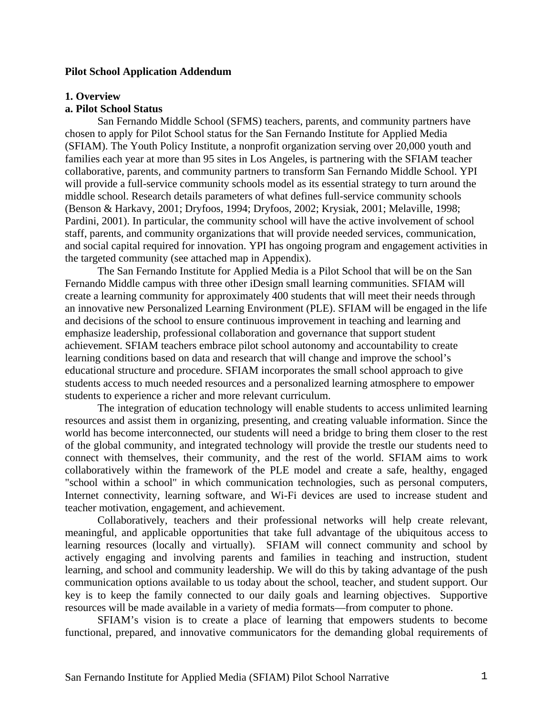### **Pilot School Application Addendum**

#### **1. Overview**

### **a. Pilot School Status**

San Fernando Middle School (SFMS) teachers, parents, and community partners have chosen to apply for Pilot School status for the San Fernando Institute for Applied Media (SFIAM). The Youth Policy Institute, a nonprofit organization serving over 20,000 youth and families each year at more than 95 sites in Los Angeles, is partnering with the SFIAM teacher collaborative, parents, and community partners to transform San Fernando Middle School. YPI will provide a full-service community schools model as its essential strategy to turn around the middle school. Research details parameters of what defines full-service community schools (Benson & Harkavy, 2001; Dryfoos, 1994; Dryfoos, 2002; Krysiak, 2001; Melaville, 1998; Pardini, 2001). In particular, the community school will have the active involvement of school staff, parents, and community organizations that will provide needed services, communication, and social capital required for innovation. YPI has ongoing program and engagement activities in the targeted community (see attached map in Appendix).

The San Fernando Institute for Applied Media is a Pilot School that will be on the San Fernando Middle campus with three other iDesign small learning communities. SFIAM will create a learning community for approximately 400 students that will meet their needs through an innovative new Personalized Learning Environment (PLE). SFIAM will be engaged in the life and decisions of the school to ensure continuous improvement in teaching and learning and emphasize leadership, professional collaboration and governance that support student achievement. SFIAM teachers embrace pilot school autonomy and accountability to create learning conditions based on data and research that will change and improve the school's educational structure and procedure. SFIAM incorporates the small school approach to give students access to much needed resources and a personalized learning atmosphere to empower students to experience a richer and more relevant curriculum.

The integration of education technology will enable students to access unlimited learning resources and assist them in organizing, presenting, and creating valuable information. Since the world has become interconnected, our students will need a bridge to bring them closer to the rest of the global community, and integrated technology will provide the trestle our students need to connect with themselves, their community, and the rest of the world. SFIAM aims to work collaboratively within the framework of the PLE model and create a safe, healthy, engaged "school within a school" in which communication technologies, such as personal computers, Internet connectivity, learning software, and Wi-Fi devices are used to increase student and teacher motivation, engagement, and achievement.

Collaboratively, teachers and their professional networks will help create relevant, meaningful, and applicable opportunities that take full advantage of the ubiquitous access to learning resources (locally and virtually). SFIAM will connect community and school by actively engaging and involving parents and families in teaching and instruction, student learning, and school and community leadership. We will do this by taking advantage of the push communication options available to us today about the school, teacher, and student support. Our key is to keep the family connected to our daily goals and learning objectives. Supportive resources will be made available in a variety of media formats—from computer to phone.

SFIAM's vision is to create a place of learning that empowers students to become functional, prepared, and innovative communicators for the demanding global requirements of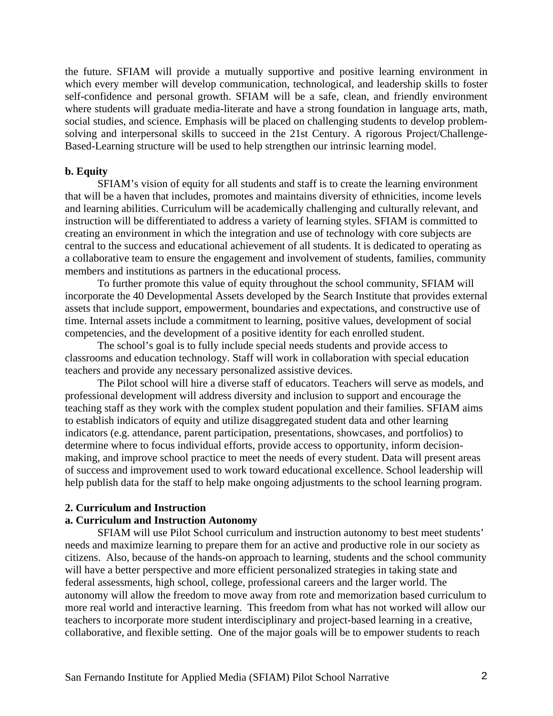the future. SFIAM will provide a mutually supportive and positive learning environment in which every member will develop communication, technological, and leadership skills to foster self-confidence and personal growth. SFIAM will be a safe, clean, and friendly environment where students will graduate media-literate and have a strong foundation in language arts, math, social studies, and science. Emphasis will be placed on challenging students to develop problemsolving and interpersonal skills to succeed in the 21st Century. A rigorous Project/Challenge-Based-Learning structure will be used to help strengthen our intrinsic learning model.

#### **b. Equity**

SFIAM's vision of equity for all students and staff is to create the learning environment that will be a haven that includes, promotes and maintains diversity of ethnicities, income levels and learning abilities. Curriculum will be academically challenging and culturally relevant, and instruction will be differentiated to address a variety of learning styles. SFIAM is committed to creating an environment in which the integration and use of technology with core subjects are central to the success and educational achievement of all students. It is dedicated to operating as a collaborative team to ensure the engagement and involvement of students, families, community members and institutions as partners in the educational process.

To further promote this value of equity throughout the school community, SFIAM will incorporate the 40 Developmental Assets developed by the Search Institute that provides external assets that include support, empowerment, boundaries and expectations, and constructive use of time. Internal assets include a commitment to learning, positive values, development of social competencies, and the development of a positive identity for each enrolled student.

The school's goal is to fully include special needs students and provide access to classrooms and education technology. Staff will work in collaboration with special education teachers and provide any necessary personalized assistive devices.

The Pilot school will hire a diverse staff of educators. Teachers will serve as models, and professional development will address diversity and inclusion to support and encourage the teaching staff as they work with the complex student population and their families. SFIAM aims to establish indicators of equity and utilize disaggregated student data and other learning indicators (e.g. attendance, parent participation, presentations, showcases, and portfolios) to determine where to focus individual efforts, provide access to opportunity, inform decisionmaking, and improve school practice to meet the needs of every student. Data will present areas of success and improvement used to work toward educational excellence. School leadership will help publish data for the staff to help make ongoing adjustments to the school learning program.

#### **2. Curriculum and Instruction**

## **a. Curriculum and Instruction Autonomy**

SFIAM will use Pilot School curriculum and instruction autonomy to best meet students' needs and maximize learning to prepare them for an active and productive role in our society as citizens. Also, because of the hands-on approach to learning, students and the school community will have a better perspective and more efficient personalized strategies in taking state and federal assessments, high school, college, professional careers and the larger world. The autonomy will allow the freedom to move away from rote and memorization based curriculum to more real world and interactive learning. This freedom from what has not worked will allow our teachers to incorporate more student interdisciplinary and project-based learning in a creative, collaborative, and flexible setting. One of the major goals will be to empower students to reach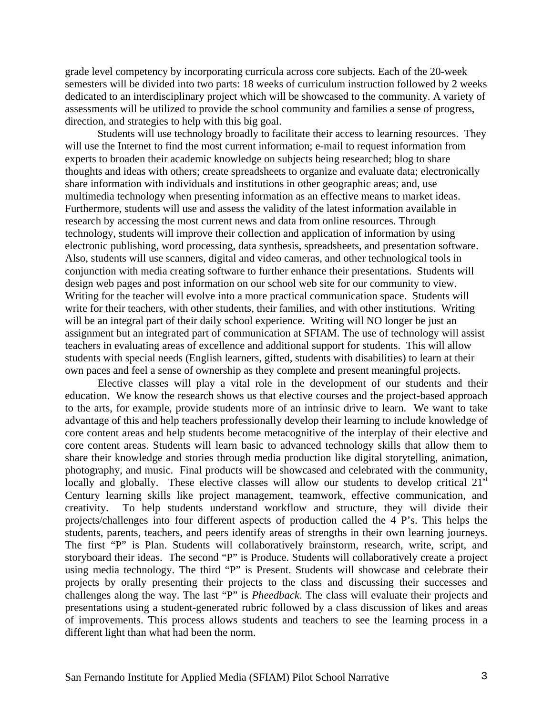grade level competency by incorporating curricula across core subjects. Each of the 20-week semesters will be divided into two parts: 18 weeks of curriculum instruction followed by 2 weeks dedicated to an interdisciplinary project which will be showcased to the community. A variety of assessments will be utilized to provide the school community and families a sense of progress, direction, and strategies to help with this big goal.

Students will use technology broadly to facilitate their access to learning resources. They will use the Internet to find the most current information; e-mail to request information from experts to broaden their academic knowledge on subjects being researched; blog to share thoughts and ideas with others; create spreadsheets to organize and evaluate data; electronically share information with individuals and institutions in other geographic areas; and, use multimedia technology when presenting information as an effective means to market ideas. Furthermore, students will use and assess the validity of the latest information available in research by accessing the most current news and data from online resources. Through technology, students will improve their collection and application of information by using electronic publishing, word processing, data synthesis, spreadsheets, and presentation software. Also, students will use scanners, digital and video cameras, and other technological tools in conjunction with media creating software to further enhance their presentations. Students will design web pages and post information on our school web site for our community to view. Writing for the teacher will evolve into a more practical communication space. Students will write for their teachers, with other students, their families, and with other institutions. Writing will be an integral part of their daily school experience. Writing will NO longer be just an assignment but an integrated part of communication at SFIAM. The use of technology will assist teachers in evaluating areas of excellence and additional support for students. This will allow students with special needs (English learners, gifted, students with disabilities) to learn at their own paces and feel a sense of ownership as they complete and present meaningful projects.

Elective classes will play a vital role in the development of our students and their education. We know the research shows us that elective courses and the project-based approach to the arts, for example, provide students more of an intrinsic drive to learn. We want to take advantage of this and help teachers professionally develop their learning to include knowledge of core content areas and help students become metacognitive of the interplay of their elective and core content areas. Students will learn basic to advanced technology skills that allow them to share their knowledge and stories through media production like digital storytelling, animation, photography, and music. Final products will be showcased and celebrated with the community, locally and globally. These elective classes will allow our students to develop critical  $21<sup>st</sup>$ Century learning skills like project management, teamwork, effective communication, and creativity. To help students understand workflow and structure, they will divide their projects/challenges into four different aspects of production called the 4 P's. This helps the students, parents, teachers, and peers identify areas of strengths in their own learning journeys. The first "P" is Plan. Students will collaboratively brainstorm, research, write, script, and storyboard their ideas. The second "P" is Produce. Students will collaboratively create a project using media technology. The third "P" is Present. Students will showcase and celebrate their projects by orally presenting their projects to the class and discussing their successes and challenges along the way. The last "P" is *Pheedback*. The class will evaluate their projects and presentations using a student-generated rubric followed by a class discussion of likes and areas of improvements. This process allows students and teachers to see the learning process in a different light than what had been the norm.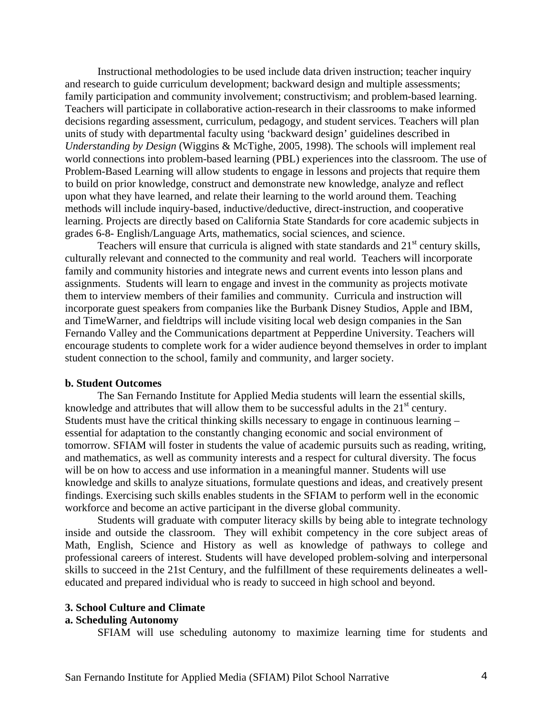Instructional methodologies to be used include data driven instruction; teacher inquiry and research to guide curriculum development; backward design and multiple assessments; family participation and community involvement; constructivism; and problem-based learning. Teachers will participate in collaborative action-research in their classrooms to make informed decisions regarding assessment, curriculum, pedagogy, and student services. Teachers will plan units of study with departmental faculty using 'backward design' guidelines described in *Understanding by Design* (Wiggins & McTighe, 2005, 1998). The schools will implement real world connections into problem-based learning (PBL) experiences into the classroom. The use of Problem-Based Learning will allow students to engage in lessons and projects that require them to build on prior knowledge, construct and demonstrate new knowledge, analyze and reflect upon what they have learned, and relate their learning to the world around them. Teaching methods will include inquiry-based, inductive/deductive, direct-instruction, and cooperative learning. Projects are directly based on California State Standards for core academic subjects in grades 6-8- English/Language Arts, mathematics, social sciences, and science.

Teachers will ensure that curricula is aligned with state standards and  $21<sup>st</sup>$  century skills, culturally relevant and connected to the community and real world. Teachers will incorporate family and community histories and integrate news and current events into lesson plans and assignments. Students will learn to engage and invest in the community as projects motivate them to interview members of their families and community. Curricula and instruction will incorporate guest speakers from companies like the Burbank Disney Studios, Apple and IBM, and TimeWarner, and fieldtrips will include visiting local web design companies in the San Fernando Valley and the Communications department at Pepperdine University. Teachers will encourage students to complete work for a wider audience beyond themselves in order to implant student connection to the school, family and community, and larger society.

### **b. Student Outcomes**

The San Fernando Institute for Applied Media students will learn the essential skills, knowledge and attributes that will allow them to be successful adults in the  $21<sup>st</sup>$  century. Students must have the critical thinking skills necessary to engage in continuous learning – essential for adaptation to the constantly changing economic and social environment of tomorrow. SFIAM will foster in students the value of academic pursuits such as reading, writing, and mathematics, as well as community interests and a respect for cultural diversity. The focus will be on how to access and use information in a meaningful manner. Students will use knowledge and skills to analyze situations, formulate questions and ideas, and creatively present findings. Exercising such skills enables students in the SFIAM to perform well in the economic workforce and become an active participant in the diverse global community.

Students will graduate with computer literacy skills by being able to integrate technology inside and outside the classroom. They will exhibit competency in the core subject areas of Math, English, Science and History as well as knowledge of pathways to college and professional careers of interest. Students will have developed problem-solving and interpersonal skills to succeed in the 21st Century, and the fulfillment of these requirements delineates a welleducated and prepared individual who is ready to succeed in high school and beyond.

#### **3. School Culture and Climate**

#### **a. Scheduling Autonomy**

SFIAM will use scheduling autonomy to maximize learning time for students and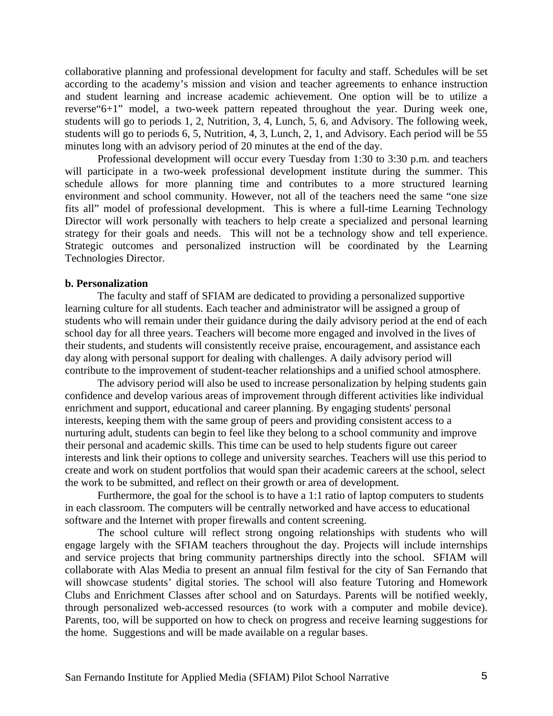collaborative planning and professional development for faculty and staff. Schedules will be set according to the academy's mission and vision and teacher agreements to enhance instruction and student learning and increase academic achievement. One option will be to utilize a reverse"6+1" model, a two-week pattern repeated throughout the year. During week one, students will go to periods 1, 2, Nutrition, 3, 4, Lunch, 5, 6, and Advisory. The following week, students will go to periods 6, 5, Nutrition, 4, 3, Lunch, 2, 1, and Advisory. Each period will be 55 minutes long with an advisory period of 20 minutes at the end of the day.

Professional development will occur every Tuesday from 1:30 to 3:30 p.m. and teachers will participate in a two-week professional development institute during the summer. This schedule allows for more planning time and contributes to a more structured learning environment and school community. However, not all of the teachers need the same "one size fits all" model of professional development. This is where a full-time Learning Technology Director will work personally with teachers to help create a specialized and personal learning strategy for their goals and needs. This will not be a technology show and tell experience. Strategic outcomes and personalized instruction will be coordinated by the Learning Technologies Director.

## **b. Personalization**

The faculty and staff of SFIAM are dedicated to providing a personalized supportive learning culture for all students. Each teacher and administrator will be assigned a group of students who will remain under their guidance during the daily advisory period at the end of each school day for all three years. Teachers will become more engaged and involved in the lives of their students, and students will consistently receive praise, encouragement, and assistance each day along with personal support for dealing with challenges. A daily advisory period will contribute to the improvement of student-teacher relationships and a unified school atmosphere.

The advisory period will also be used to increase personalization by helping students gain confidence and develop various areas of improvement through different activities like individual enrichment and support, educational and career planning. By engaging students' personal interests, keeping them with the same group of peers and providing consistent access to a nurturing adult, students can begin to feel like they belong to a school community and improve their personal and academic skills. This time can be used to help students figure out career interests and link their options to college and university searches. Teachers will use this period to create and work on student portfolios that would span their academic careers at the school, select the work to be submitted, and reflect on their growth or area of development.

Furthermore, the goal for the school is to have a 1:1 ratio of laptop computers to students in each classroom. The computers will be centrally networked and have access to educational software and the Internet with proper firewalls and content screening.

The school culture will reflect strong ongoing relationships with students who will engage largely with the SFIAM teachers throughout the day. Projects will include internships and service projects that bring community partnerships directly into the school. SFIAM will collaborate with Alas Media to present an annual film festival for the city of San Fernando that will showcase students' digital stories. The school will also feature Tutoring and Homework Clubs and Enrichment Classes after school and on Saturdays. Parents will be notified weekly, through personalized web-accessed resources (to work with a computer and mobile device). Parents, too, will be supported on how to check on progress and receive learning suggestions for the home. Suggestions and will be made available on a regular bases.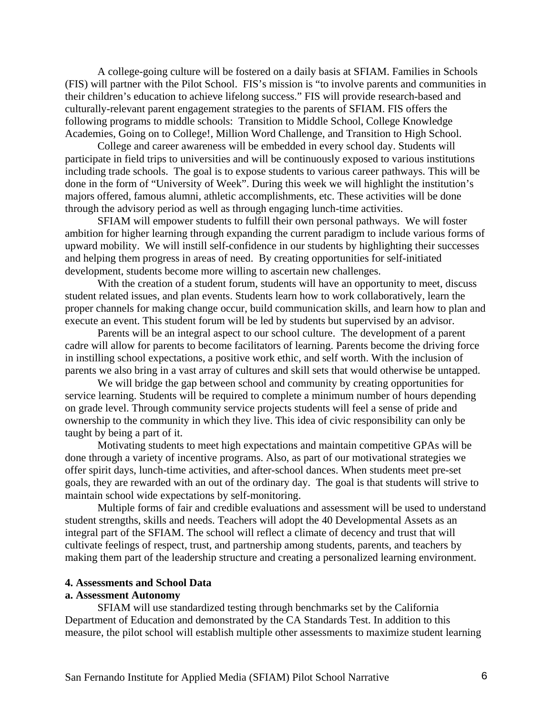A college-going culture will be fostered on a daily basis at SFIAM. Families in Schools (FIS) will partner with the Pilot School. FIS's mission is "to involve parents and communities in their children's education to achieve lifelong success." FIS will provide research-based and culturally-relevant parent engagement strategies to the parents of SFIAM. FIS offers the following programs to middle schools: Transition to Middle School, College Knowledge Academies, Going on to College!, Million Word Challenge, and Transition to High School.

College and career awareness will be embedded in every school day. Students will participate in field trips to universities and will be continuously exposed to various institutions including trade schools. The goal is to expose students to various career pathways. This will be done in the form of "University of Week". During this week we will highlight the institution's majors offered, famous alumni, athletic accomplishments, etc. These activities will be done through the advisory period as well as through engaging lunch-time activities.

SFIAM will empower students to fulfill their own personal pathways. We will foster ambition for higher learning through expanding the current paradigm to include various forms of upward mobility. We will instill self-confidence in our students by highlighting their successes and helping them progress in areas of need. By creating opportunities for self-initiated development, students become more willing to ascertain new challenges.

With the creation of a student forum, students will have an opportunity to meet, discuss student related issues, and plan events. Students learn how to work collaboratively, learn the proper channels for making change occur, build communication skills, and learn how to plan and execute an event. This student forum will be led by students but supervised by an advisor.

Parents will be an integral aspect to our school culture. The development of a parent cadre will allow for parents to become facilitators of learning. Parents become the driving force in instilling school expectations, a positive work ethic, and self worth. With the inclusion of parents we also bring in a vast array of cultures and skill sets that would otherwise be untapped.

We will bridge the gap between school and community by creating opportunities for service learning. Students will be required to complete a minimum number of hours depending on grade level. Through community service projects students will feel a sense of pride and ownership to the community in which they live. This idea of civic responsibility can only be taught by being a part of it.

Motivating students to meet high expectations and maintain competitive GPAs will be done through a variety of incentive programs. Also, as part of our motivational strategies we offer spirit days, lunch-time activities, and after-school dances. When students meet pre-set goals, they are rewarded with an out of the ordinary day. The goal is that students will strive to maintain school wide expectations by self-monitoring.

Multiple forms of fair and credible evaluations and assessment will be used to understand student strengths, skills and needs. Teachers will adopt the 40 Developmental Assets as an integral part of the SFIAM. The school will reflect a climate of decency and trust that will cultivate feelings of respect, trust, and partnership among students, parents, and teachers by making them part of the leadership structure and creating a personalized learning environment.

### **4. Assessments and School Data**

### **a. Assessment Autonomy**

SFIAM will use standardized testing through benchmarks set by the California Department of Education and demonstrated by the CA Standards Test. In addition to this measure, the pilot school will establish multiple other assessments to maximize student learning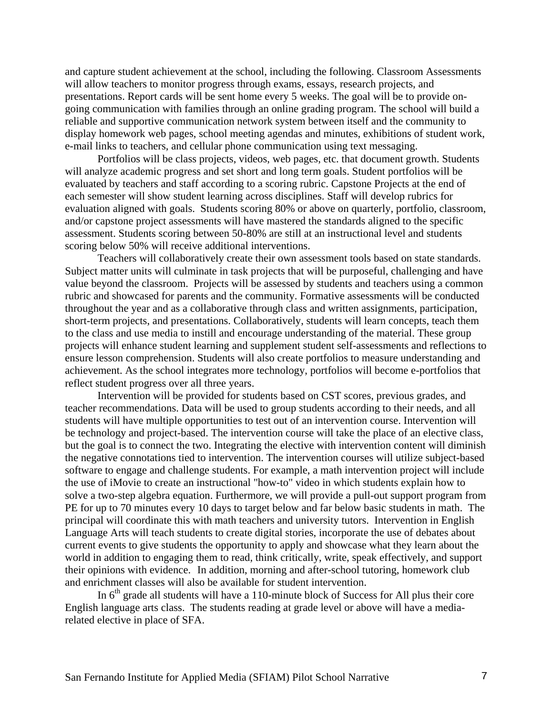and capture student achievement at the school, including the following. Classroom Assessments will allow teachers to monitor progress through exams, essays, research projects, and presentations. Report cards will be sent home every 5 weeks. The goal will be to provide ongoing communication with families through an online grading program. The school will build a reliable and supportive communication network system between itself and the community to display homework web pages, school meeting agendas and minutes, exhibitions of student work, e-mail links to teachers, and cellular phone communication using text messaging.

Portfolios will be class projects, videos, web pages, etc. that document growth. Students will analyze academic progress and set short and long term goals. Student portfolios will be evaluated by teachers and staff according to a scoring rubric. Capstone Projects at the end of each semester will show student learning across disciplines. Staff will develop rubrics for evaluation aligned with goals. Students scoring 80% or above on quarterly, portfolio, classroom, and/or capstone project assessments will have mastered the standards aligned to the specific assessment. Students scoring between 50-80% are still at an instructional level and students scoring below 50% will receive additional interventions.

Teachers will collaboratively create their own assessment tools based on state standards. Subject matter units will culminate in task projects that will be purposeful, challenging and have value beyond the classroom. Projects will be assessed by students and teachers using a common rubric and showcased for parents and the community. Formative assessments will be conducted throughout the year and as a collaborative through class and written assignments, participation, short-term projects, and presentations. Collaboratively, students will learn concepts, teach them to the class and use media to instill and encourage understanding of the material. These group projects will enhance student learning and supplement student self-assessments and reflections to ensure lesson comprehension. Students will also create portfolios to measure understanding and achievement. As the school integrates more technology, portfolios will become e-portfolios that reflect student progress over all three years.

Intervention will be provided for students based on CST scores, previous grades, and teacher recommendations. Data will be used to group students according to their needs, and all students will have multiple opportunities to test out of an intervention course. Intervention will be technology and project-based. The intervention course will take the place of an elective class, but the goal is to connect the two. Integrating the elective with intervention content will diminish the negative connotations tied to intervention. The intervention courses will utilize subject-based software to engage and challenge students. For example, a math intervention project will include the use of iMovie to create an instructional "how-to" video in which students explain how to solve a two-step algebra equation. Furthermore, we will provide a pull-out support program from PE for up to 70 minutes every 10 days to target below and far below basic students in math. The principal will coordinate this with math teachers and university tutors. Intervention in English Language Arts will teach students to create digital stories, incorporate the use of debates about current events to give students the opportunity to apply and showcase what they learn about the world in addition to engaging them to read, think critically, write, speak effectively, and support their opinions with evidence. In addition, morning and after-school tutoring, homework club and enrichment classes will also be available for student intervention.

In  $6<sup>th</sup>$  grade all students will have a 110-minute block of Success for All plus their core English language arts class. The students reading at grade level or above will have a mediarelated elective in place of SFA.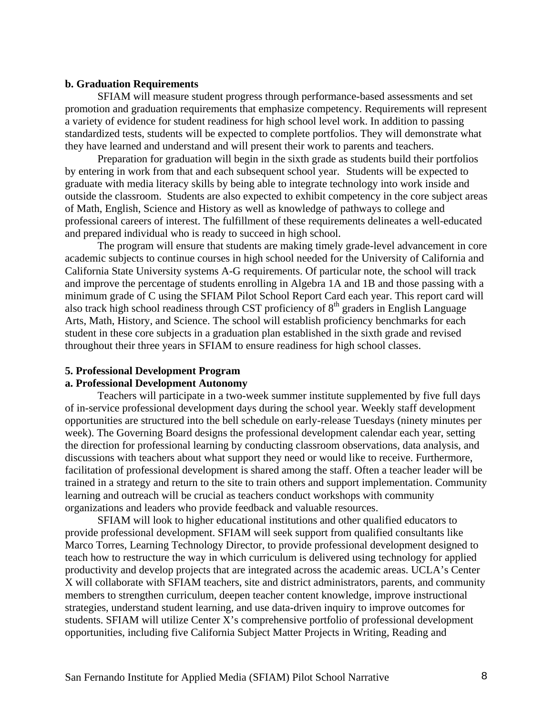### **b. Graduation Requirements**

SFIAM will measure student progress through performance-based assessments and set promotion and graduation requirements that emphasize competency. Requirements will represent a variety of evidence for student readiness for high school level work. In addition to passing standardized tests, students will be expected to complete portfolios. They will demonstrate what they have learned and understand and will present their work to parents and teachers.

Preparation for graduation will begin in the sixth grade as students build their portfolios by entering in work from that and each subsequent school year. Students will be expected to graduate with media literacy skills by being able to integrate technology into work inside and outside the classroom. Students are also expected to exhibit competency in the core subject areas of Math, English, Science and History as well as knowledge of pathways to college and professional careers of interest. The fulfillment of these requirements delineates a well-educated and prepared individual who is ready to succeed in high school.

The program will ensure that students are making timely grade-level advancement in core academic subjects to continue courses in high school needed for the University of California and California State University systems A-G requirements. Of particular note, the school will track and improve the percentage of students enrolling in Algebra 1A and 1B and those passing with a minimum grade of C using the SFIAM Pilot School Report Card each year. This report card will also track high school readiness through CST proficiency of  $8<sup>th</sup>$  graders in English Language Arts, Math, History, and Science. The school will establish proficiency benchmarks for each student in these core subjects in a graduation plan established in the sixth grade and revised throughout their three years in SFIAM to ensure readiness for high school classes.

### **5. Professional Development Program**

# **a. Professional Development Autonomy**

Teachers will participate in a two-week summer institute supplemented by five full days of in-service professional development days during the school year. Weekly staff development opportunities are structured into the bell schedule on early-release Tuesdays (ninety minutes per week). The Governing Board designs the professional development calendar each year, setting the direction for professional learning by conducting classroom observations, data analysis, and discussions with teachers about what support they need or would like to receive. Furthermore, facilitation of professional development is shared among the staff. Often a teacher leader will be trained in a strategy and return to the site to train others and support implementation. Community learning and outreach will be crucial as teachers conduct workshops with community organizations and leaders who provide feedback and valuable resources.

SFIAM will look to higher educational institutions and other qualified educators to provide professional development. SFIAM will seek support from qualified consultants like Marco Torres, Learning Technology Director, to provide professional development designed to teach how to restructure the way in which curriculum is delivered using technology for applied productivity and develop projects that are integrated across the academic areas. UCLA's Center X will collaborate with SFIAM teachers, site and district administrators, parents, and community members to strengthen curriculum, deepen teacher content knowledge, improve instructional strategies, understand student learning, and use data-driven inquiry to improve outcomes for students. SFIAM will utilize Center X's comprehensive portfolio of professional development opportunities, including five California Subject Matter Projects in Writing, Reading and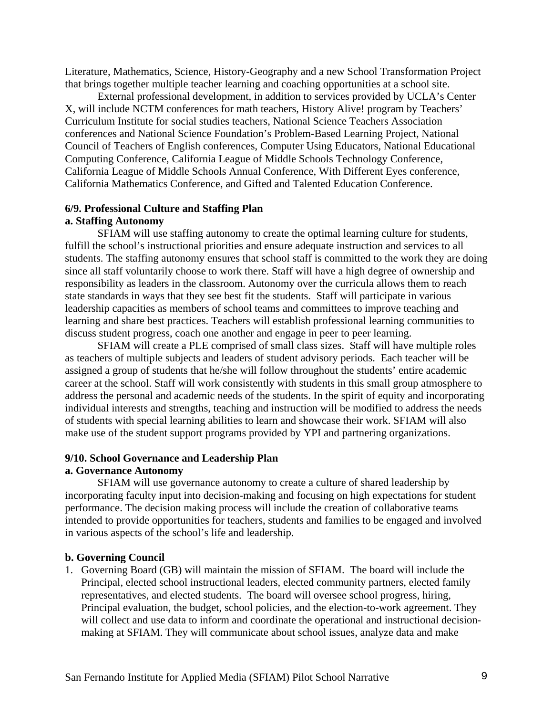Literature, Mathematics, Science, History-Geography and a new School Transformation Project that brings together multiple teacher learning and coaching opportunities at a school site.

External professional development, in addition to services provided by UCLA's Center X, will include NCTM conferences for math teachers, History Alive! program by Teachers' Curriculum Institute for social studies teachers, National Science Teachers Association conferences and National Science Foundation's Problem-Based Learning Project, National Council of Teachers of English conferences, Computer Using Educators, National Educational Computing Conference, California League of Middle Schools Technology Conference, California League of Middle Schools Annual Conference, With Different Eyes conference, California Mathematics Conference, and Gifted and Talented Education Conference.

## **6/9. Professional Culture and Staffing Plan**

## **a. Staffing Autonomy**

SFIAM will use staffing autonomy to create the optimal learning culture for students, fulfill the school's instructional priorities and ensure adequate instruction and services to all students. The staffing autonomy ensures that school staff is committed to the work they are doing since all staff voluntarily choose to work there. Staff will have a high degree of ownership and responsibility as leaders in the classroom. Autonomy over the curricula allows them to reach state standards in ways that they see best fit the students. Staff will participate in various leadership capacities as members of school teams and committees to improve teaching and learning and share best practices. Teachers will establish professional learning communities to discuss student progress, coach one another and engage in peer to peer learning.

SFIAM will create a PLE comprised of small class sizes. Staff will have multiple roles as teachers of multiple subjects and leaders of student advisory periods. Each teacher will be assigned a group of students that he/she will follow throughout the students' entire academic career at the school. Staff will work consistently with students in this small group atmosphere to address the personal and academic needs of the students. In the spirit of equity and incorporating individual interests and strengths, teaching and instruction will be modified to address the needs of students with special learning abilities to learn and showcase their work. SFIAM will also make use of the student support programs provided by YPI and partnering organizations.

#### **9/10. School Governance and Leadership Plan a. Governance Autonomy**

# SFIAM will use governance autonomy to create a culture of shared leadership by incorporating faculty input into decision-making and focusing on high expectations for student performance. The decision making process will include the creation of collaborative teams intended to provide opportunities for teachers, students and families to be engaged and involved in various aspects of the school's life and leadership.

#### **b. Governing Council**

1. Governing Board (GB) will maintain the mission of SFIAM. The board will include the Principal, elected school instructional leaders, elected community partners, elected family representatives, and elected students. The board will oversee school progress, hiring, Principal evaluation, the budget, school policies, and the election-to-work agreement. They will collect and use data to inform and coordinate the operational and instructional decisionmaking at SFIAM. They will communicate about school issues, analyze data and make